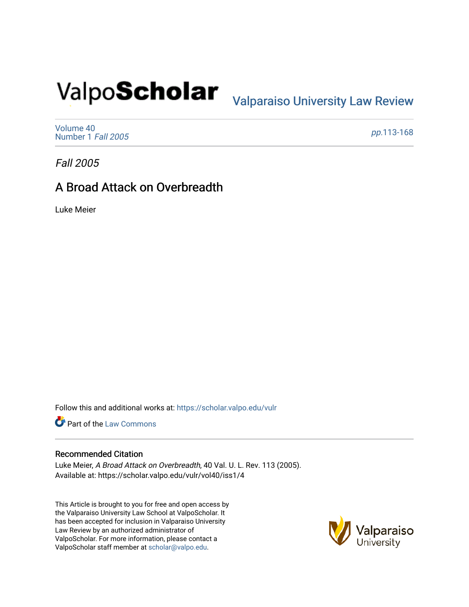# Valpo**Scholar** <sub>Valparaiso University Law Review</sub>

[Volume 40](https://scholar.valpo.edu/vulr/vol40) [Number 1](https://scholar.valpo.edu/vulr/vol40/iss1) Fall 2005

pp.[113-168](https://scholar.valpo.edu/vulr/vol40/iss1/4) 

Fall 2005

# A Broad Attack on Overbreadth

Luke Meier

Follow this and additional works at: [https://scholar.valpo.edu/vulr](https://scholar.valpo.edu/vulr?utm_source=scholar.valpo.edu%2Fvulr%2Fvol40%2Fiss1%2F4&utm_medium=PDF&utm_campaign=PDFCoverPages)

**Part of the [Law Commons](http://network.bepress.com/hgg/discipline/578?utm_source=scholar.valpo.edu%2Fvulr%2Fvol40%2Fiss1%2F4&utm_medium=PDF&utm_campaign=PDFCoverPages)** 

# Recommended Citation

Luke Meier, A Broad Attack on Overbreadth, 40 Val. U. L. Rev. 113 (2005). Available at: https://scholar.valpo.edu/vulr/vol40/iss1/4

This Article is brought to you for free and open access by the Valparaiso University Law School at ValpoScholar. It has been accepted for inclusion in Valparaiso University Law Review by an authorized administrator of ValpoScholar. For more information, please contact a ValpoScholar staff member at [scholar@valpo.edu](mailto:scholar@valpo.edu).

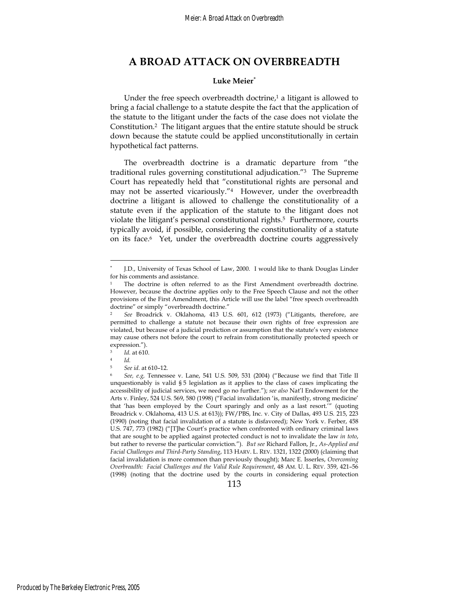# **A BROAD ATTACK ON OVERBREADTH**

#### **Luke Meier**<sup>∗</sup>

Under the free speech overbreadth doctrine, $1$  a litigant is allowed to bring a facial challenge to a statute despite the fact that the application of the statute to the litigant under the facts of the case does not violate the Constitution.2 The litigant argues that the entire statute should be struck down because the statute could be applied unconstitutionally in certain hypothetical fact patterns.

The overbreadth doctrine is a dramatic departure from "the traditional rules governing constitutional adjudication."3 The Supreme Court has repeatedly held that "constitutional rights are personal and may not be asserted vicariously."4 However, under the overbreadth doctrine a litigant is allowed to challenge the constitutionality of a statute even if the application of the statute to the litigant does not violate the litigant's personal constitutional rights.5 Furthermore, courts typically avoid, if possible, considering the constitutionality of a statute on its face.6 Yet, under the overbreadth doctrine courts aggressively

 $\overline{a}$ 

113

<sup>∗</sup> J.D., University of Texas School of Law, 2000. I would like to thank Douglas Linder for his comments and assistance.

<sup>1</sup> The doctrine is often referred to as the First Amendment overbreadth doctrine. However, because the doctrine applies only to the Free Speech Clause and not the other provisions of the First Amendment, this Article will use the label "free speech overbreadth doctrine" or simply "overbreadth doctrine."

<sup>2</sup> *See* Broadrick v. Oklahoma, 413 U.S. 601, 612 (1973) ("Litigants, therefore, are permitted to challenge a statute not because their own rights of free expression are violated, but because of a judicial prediction or assumption that the statute's very existence may cause others not before the court to refrain from constitutionally protected speech or expression.").

*Id.* at 610.<br>*Id.* 

<sup>5</sup> *See id.* at 610–12.

<sup>6</sup> *See, e.g,* Tennessee v. Lane, 541 U.S. 509, 531 (2004) ("Because we find that Title II unquestionably is valid § 5 legislation as it applies to the class of cases implicating the accessibility of judicial services, we need go no further."); *see also* Nat'l Endowment for the Arts v. Finley, 524 U.S. 569, 580 (1998) ("Facial invalidation 'is, manifestly, strong medicine' that 'has been employed by the Court sparingly and only as a last resort.'" (quoting Broadrick v. Oklahoma, 413 U.S. at 613)); FW/PBS, Inc. v. City of Dallas, 493 U.S. 215, 223 (1990) (noting that facial invalidation of a statute is disfavored); New York v. Ferber, 458 U.S. 747, 773 (1982) ("[T]he Court's practice when confronted with ordinary criminal laws that are sought to be applied against protected conduct is not to invalidate the law *in toto*, but rather to reverse the particular conviction."). *But see* Richard Fallon, Jr., *As-Applied and Facial Challenges and Third-Party Standing*, 113 HARV. L. REV. 1321, 1322 (2000) (claiming that facial invalidation is more common than previously thought); Marc E. Isserles, *Overcoming Overbreadth: Facial Challenges and the Valid Rule Requirement*, 48 AM. U. L. REV. 359, 421–56 (1998) (noting that the doctrine used by the courts in considering equal protection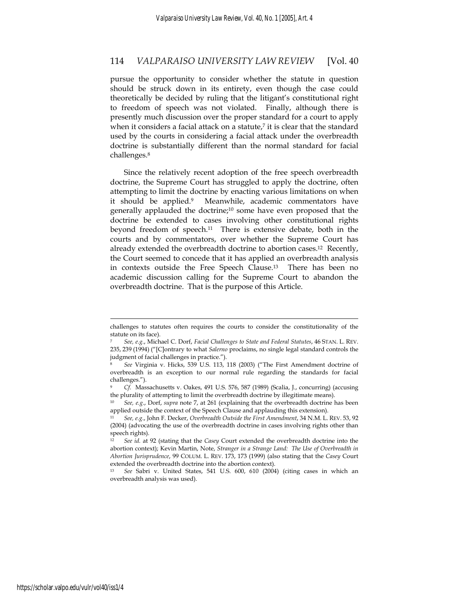pursue the opportunity to consider whether the statute in question should be struck down in its entirety, even though the case could theoretically be decided by ruling that the litigant's constitutional right to freedom of speech was not violated. Finally, although there is presently much discussion over the proper standard for a court to apply when it considers a facial attack on a statute, $7$  it is clear that the standard used by the courts in considering a facial attack under the overbreadth doctrine is substantially different than the normal standard for facial challenges.8

Since the relatively recent adoption of the free speech overbreadth doctrine, the Supreme Court has struggled to apply the doctrine, often attempting to limit the doctrine by enacting various limitations on when it should be applied.<sup>9</sup> Meanwhile, academic commentators have generally applauded the doctrine;<sup>10</sup> some have even proposed that the doctrine be extended to cases involving other constitutional rights beyond freedom of speech.11 There is extensive debate, both in the courts and by commentators, over whether the Supreme Court has already extended the overbreadth doctrine to abortion cases.12 Recently, the Court seemed to concede that it has applied an overbreadth analysis in contexts outside the Free Speech Clause.13 There has been no academic discussion calling for the Supreme Court to abandon the overbreadth doctrine. That is the purpose of this Article.

challenges to statutes often requires the courts to consider the constitutionality of the statute on its face).

<sup>7</sup> *See, e.g.*, Michael C. Dorf, *Facial Challenges to State and Federal Statutes*, 46 STAN. L. REV. 235, 239 (1994) ("[C]ontrary to what *Salerno* proclaims, no single legal standard controls the judgment of facial challenges in practice.").

<sup>8</sup> *See* Virginia v. Hicks, 539 U.S. 113, 118 (2003) ("The First Amendment doctrine of overbreadth is an exception to our normal rule regarding the standards for facial challenges.").

<sup>9</sup> *Cf.* Massachusetts v. Oakes, 491 U.S. 576, 587 (1989) (Scalia, J., concurring) (accusing the plurality of attempting to limit the overbreadth doctrine by illegitimate means).

<sup>10</sup> *See, e.g.*, Dorf, *supra* note 7, at 261 (explaining that the overbreadth doctrine has been applied outside the context of the Speech Clause and applauding this extension).

<sup>11</sup> *See, e.g.*, John F. Decker, *Overbreadth Outside the First Amendment*, 34 N.M. L. REV. 53, 92 (2004) (advocating the use of the overbreadth doctrine in cases involving rights other than speech rights).

<sup>12</sup> *See id.* at 92 (stating that the *Casey* Court extended the overbreadth doctrine into the abortion context); Kevin Martin, Note, *Stranger in a Strange Land: The Use of Overbreadth in Abortion Jurisprudence*, 99 COLUM. L. REV. 173, 173 (1999) (also stating that the *Casey* Court extended the overbreadth doctrine into the abortion context).

<sup>13</sup> *See* Sabri v. United States, 541 U.S. 600, 610 (2004) (citing cases in which an overbreadth analysis was used).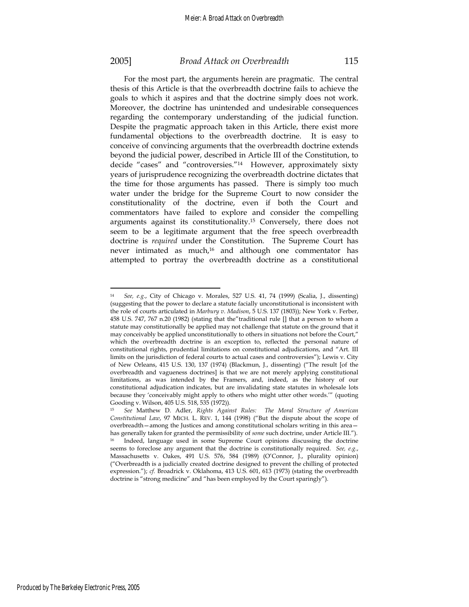$\overline{a}$ 

### 2005] *Broad Attack on Overbreadth* 115

For the most part, the arguments herein are pragmatic. The central thesis of this Article is that the overbreadth doctrine fails to achieve the goals to which it aspires and that the doctrine simply does not work. Moreover, the doctrine has unintended and undesirable consequences regarding the contemporary understanding of the judicial function. Despite the pragmatic approach taken in this Article, there exist more fundamental objections to the overbreadth doctrine. It is easy to conceive of convincing arguments that the overbreadth doctrine extends beyond the judicial power, described in Article III of the Constitution, to decide "cases" and "controversies."14 However, approximately sixty years of jurisprudence recognizing the overbreadth doctrine dictates that the time for those arguments has passed. There is simply too much water under the bridge for the Supreme Court to now consider the constitutionality of the doctrine, even if both the Court and commentators have failed to explore and consider the compelling arguments against its constitutionality.15 Conversely, there does not seem to be a legitimate argument that the free speech overbreadth doctrine is *required* under the Constitution. The Supreme Court has never intimated as much,<sup>16</sup> and although one commentator has attempted to portray the overbreadth doctrine as a constitutional

<sup>14</sup> *See, e.g.*, City of Chicago v. Morales, 527 U.S. 41, 74 (1999) (Scalia, J., dissenting) (suggesting that the power to declare a statute facially unconstitutional is inconsistent with the role of courts articulated in *Marbury v. Madison*, 5 U.S. 137 (1803)); New York v. Ferber, 458 U.S. 747, 767 n.20 (1982) (stating that the"traditional rule [] that a person to whom a statute may constitutionally be applied may not challenge that statute on the ground that it may conceivably be applied unconstitutionally to others in situations not before the Court," which the overbreadth doctrine is an exception to, reflected the personal nature of constitutional rights, prudential limitations on constitutional adjudications, and "Art. III limits on the jurisdiction of federal courts to actual cases and controversies"); Lewis v. City of New Orleans, 415 U.S. 130, 137 (1974) (Blackmun, J., dissenting) ("The result [of the overbreadth and vagueness doctrines] is that we are not merely applying constitutional limitations, as was intended by the Framers, and, indeed, as the history of our constitutional adjudication indicates, but are invalidating state statutes in wholesale lots because they 'conceivably might apply to others who might utter other words.'" (quoting Gooding v. Wilson, 405 U.S. 518, 535 (1972)).

<sup>15</sup> *See* Matthew D. Adler, *Rights Against Rules: The Moral Structure of American Constitutional Law*, 97 MICH. L. REV. 1, 144 (1998) ("But the dispute about the scope of overbreadth—among the Justices and among constitutional scholars writing in this area has generally taken for granted the permissibility of *some* such doctrine, under Article III."). 16 Indeed, language used in some Supreme Court opinions discussing the doctrine seems to foreclose any argument that the doctrine is constitutionally required. *See, e.g.*, Massachusetts v. Oakes, 491 U.S. 576, 584 (1989) (O'Connor, J., plurality opinion) ("Overbreadth is a judicially created doctrine designed to prevent the chilling of protected expression."); *cf.* Broadrick v. Oklahoma, 413 U.S. 601, 613 (1973) (stating the overbreadth doctrine is "strong medicine" and "has been employed by the Court sparingly").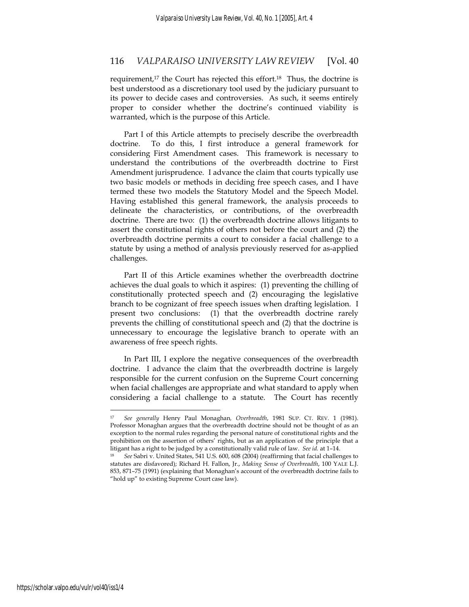requirement,<sup>17</sup> the Court has rejected this effort.<sup>18</sup> Thus, the doctrine is best understood as a discretionary tool used by the judiciary pursuant to its power to decide cases and controversies. As such, it seems entirely proper to consider whether the doctrine's continued viability is warranted, which is the purpose of this Article.

Part I of this Article attempts to precisely describe the overbreadth doctrine. To do this, I first introduce a general framework for considering First Amendment cases. This framework is necessary to understand the contributions of the overbreadth doctrine to First Amendment jurisprudence. I advance the claim that courts typically use two basic models or methods in deciding free speech cases, and I have termed these two models the Statutory Model and the Speech Model. Having established this general framework, the analysis proceeds to delineate the characteristics, or contributions, of the overbreadth doctrine. There are two: (1) the overbreadth doctrine allows litigants to assert the constitutional rights of others not before the court and (2) the overbreadth doctrine permits a court to consider a facial challenge to a statute by using a method of analysis previously reserved for as-applied challenges.

Part II of this Article examines whether the overbreadth doctrine achieves the dual goals to which it aspires: (1) preventing the chilling of constitutionally protected speech and (2) encouraging the legislative branch to be cognizant of free speech issues when drafting legislation. I present two conclusions: (1) that the overbreadth doctrine rarely prevents the chilling of constitutional speech and (2) that the doctrine is unnecessary to encourage the legislative branch to operate with an awareness of free speech rights.

In Part III, I explore the negative consequences of the overbreadth doctrine. I advance the claim that the overbreadth doctrine is largely responsible for the current confusion on the Supreme Court concerning when facial challenges are appropriate and what standard to apply when considering a facial challenge to a statute. The Court has recently

<sup>17</sup> *See generally* Henry Paul Monaghan*, Overbreadth*, 1981 SUP. CT. REV. 1 (1981). Professor Monaghan argues that the overbreadth doctrine should not be thought of as an exception to the normal rules regarding the personal nature of constitutional rights and the prohibition on the assertion of others' rights, but as an application of the principle that a litigant has a right to be judged by a constitutionally valid rule of law. *See id.* at 1–14. 18 *See* Sabri v. United States, 541 U.S. 600, 608 (2004) (reaffirming that facial challenges to

statutes are disfavored); Richard H. Fallon, Jr., *Making Sense of Overbreadth*, 100 YALE L.J. 853, 871–75 (1991) (explaining that Monaghan's account of the overbreadth doctrine fails to "hold up" to existing Supreme Court case law).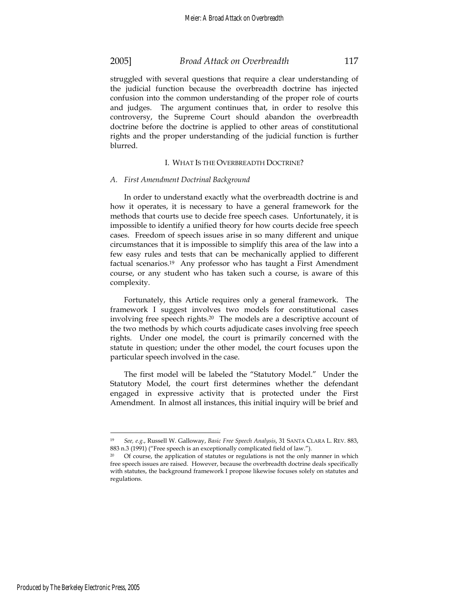struggled with several questions that require a clear understanding of the judicial function because the overbreadth doctrine has injected confusion into the common understanding of the proper role of courts and judges. The argument continues that, in order to resolve this controversy, the Supreme Court should abandon the overbreadth doctrine before the doctrine is applied to other areas of constitutional rights and the proper understanding of the judicial function is further blurred.

### I. WHAT IS THE OVERBREADTH DOCTRINE?

#### *A. First Amendment Doctrinal Background*

In order to understand exactly what the overbreadth doctrine is and how it operates, it is necessary to have a general framework for the methods that courts use to decide free speech cases. Unfortunately, it is impossible to identify a unified theory for how courts decide free speech cases. Freedom of speech issues arise in so many different and unique circumstances that it is impossible to simplify this area of the law into a few easy rules and tests that can be mechanically applied to different factual scenarios.19 Any professor who has taught a First Amendment course, or any student who has taken such a course, is aware of this complexity.

Fortunately, this Article requires only a general framework. The framework I suggest involves two models for constitutional cases involving free speech rights.20 The models are a descriptive account of the two methods by which courts adjudicate cases involving free speech rights. Under one model, the court is primarily concerned with the statute in question; under the other model, the court focuses upon the particular speech involved in the case.

The first model will be labeled the "Statutory Model." Under the Statutory Model, the court first determines whether the defendant engaged in expressive activity that is protected under the First Amendment. In almost all instances, this initial inquiry will be brief and

<sup>19</sup> *See, e.g.*, Russell W. Galloway, *Basic Free Speech Analysis*, 31 SANTA CLARA L. REV. 883, 883 n.3 (1991) ("Free speech is an exceptionally complicated field of law.").

<sup>&</sup>lt;sup>20</sup> Of course, the application of statutes or regulations is not the only manner in which free speech issues are raised. However, because the overbreadth doctrine deals specifically with statutes, the background framework I propose likewise focuses solely on statutes and regulations.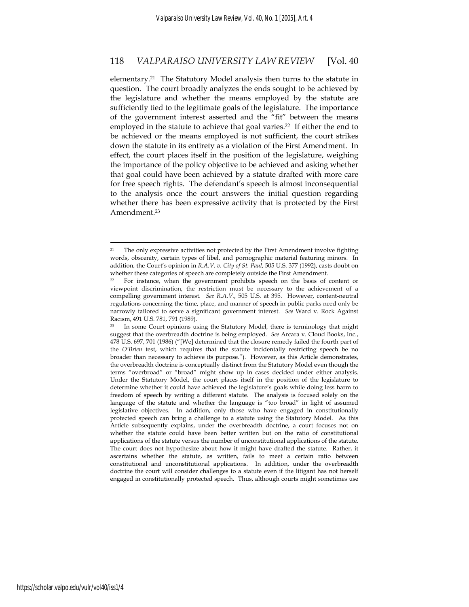elementary.21 The Statutory Model analysis then turns to the statute in question. The court broadly analyzes the ends sought to be achieved by the legislature and whether the means employed by the statute are sufficiently tied to the legitimate goals of the legislature. The importance of the government interest asserted and the "fit" between the means employed in the statute to achieve that goal varies.<sup>22</sup> If either the end to be achieved or the means employed is not sufficient, the court strikes down the statute in its entirety as a violation of the First Amendment. In effect, the court places itself in the position of the legislature, weighing the importance of the policy objective to be achieved and asking whether that goal could have been achieved by a statute drafted with more care for free speech rights. The defendant's speech is almost inconsequential to the analysis once the court answers the initial question regarding whether there has been expressive activity that is protected by the First Amendment.23

<sup>&</sup>lt;sup>21</sup> The only expressive activities not protected by the First Amendment involve fighting words, obscenity, certain types of libel, and pornographic material featuring minors. In addition, the Court's opinion in *R.A.V. v. City of St. Paul*, 505 U.S. 377 (1992), casts doubt on whether these categories of speech are completely outside the First Amendment.<br><sup>22</sup> For instance, when the government prohibits speech on the basis of content or

viewpoint discrimination, the restriction must be necessary to the achievement of a compelling government interest. *See R.A.V.*, 505 U.S. at 395. However, content-neutral regulations concerning the time, place, and manner of speech in public parks need only be narrowly tailored to serve a significant government interest. *See* Ward v. Rock Against Racism, 491 U.S. 781, 791 (1989).

<sup>&</sup>lt;sup>23</sup> In some Court opinions using the Statutory Model, there is terminology that might suggest that the overbreadth doctrine is being employed. *See* Arcara v. Cloud Books, Inc*.*, 478 U.S. 697, 701 (1986) ("[We] determined that the closure remedy failed the fourth part of the *O'Brien* test, which requires that the statute incidentally restricting speech be no broader than necessary to achieve its purpose."). However, as this Article demonstrates, the overbreadth doctrine is conceptually distinct from the Statutory Model even though the terms "overbroad" or "broad" might show up in cases decided under either analysis. Under the Statutory Model, the court places itself in the position of the legislature to determine whether it could have achieved the legislature's goals while doing less harm to freedom of speech by writing a different statute. The analysis is focused solely on the language of the statute and whether the language is "too broad" in light of assumed legislative objectives. In addition, only those who have engaged in constitutionally protected speech can bring a challenge to a statute using the Statutory Model. As this Article subsequently explains, under the overbreadth doctrine, a court focuses not on whether the statute could have been better written but on the ratio of constitutional applications of the statute versus the number of unconstitutional applications of the statute. The court does not hypothesize about how it might have drafted the statute. Rather, it ascertains whether the statute, as written, fails to meet a certain ratio between constitutional and unconstitutional applications. In addition, under the overbreadth doctrine the court will consider challenges to a statute even if the litigant has not herself engaged in constitutionally protected speech. Thus, although courts might sometimes use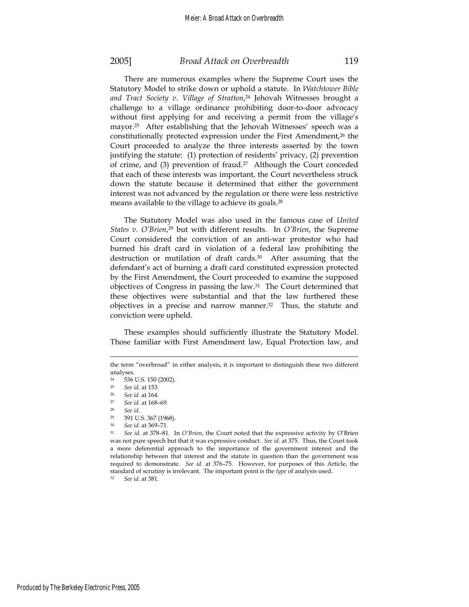There are numerous examples where the Supreme Court uses the Statutory Model to strike down or uphold a statute. In *Watchtower Bible and Tract Society v. Village of Stratton*, 24 Jehovah Witnesses brought a challenge to a village ordinance prohibiting door-to-door advocacy without first applying for and receiving a permit from the village's mayor.25 After establishing that the Jehovah Witnesses' speech was a constitutionally protected expression under the First Amendment,<sup>26</sup> the Court proceeded to analyze the three interests asserted by the town justifying the statute: (1) protection of residents' privacy, (2) prevention of crime, and (3) prevention of fraud.27 Although the Court conceded that each of these interests was important, the Court nevertheless struck down the statute because it determined that either the government interest was not advanced by the regulation or there were less restrictive means available to the village to achieve its goals.<sup>28</sup>

The Statutory Model was also used in the famous case of *United States v. O'Brien*, 29 but with different results. In *O'Brien*, the Supreme Court considered the conviction of an anti-war protestor who had burned his draft card in violation of a federal law prohibiting the destruction or mutilation of draft cards.<sup>30</sup> After assuming that the defendant's act of burning a draft card constituted expression protected by the First Amendment, the Court proceeded to examine the supposed objectives of Congress in passing the law.31 The Court determined that these objectives were substantial and that the law furthered these objectives in a precise and narrow manner.<sup>32</sup> Thus, the statute and conviction were upheld.

These examples should sufficiently illustrate the Statutory Model. Those familiar with First Amendment law, Equal Protection law, and

the term "overbroad" in either analysis, it is important to distinguish these two different analyses.

<sup>&</sup>lt;sup>24</sup> 536 U.S. 150 (2002).<br><sup>25</sup> See id. 2t 153

<sup>25</sup> *See id.* at 153.

<sup>26</sup> *See id.* at 164. 27 *See id.* at 168–69.

<sup>&</sup>lt;sup>28</sup> *See id.* <sup>29</sup> 391 U.S. 367 (1968).

<sup>30</sup> *See id.* at 369–71. 31 *See id.* at 378–81. In *O'Brien*, the Court noted that the expressive activity by O'Brien was not pure speech but that it was expressive conduct. *See id.* at 375. Thus, the Court took a more deferential approach to the importance of the government interest and the relationship between that interest and the statute in question than the government was required to demonstrate. *See id.* at 376–75. However, for purposes of this Article, the standard of scrutiny is irrelevant. The important point is the *type* of analysis used. 32 *See id.* at 381.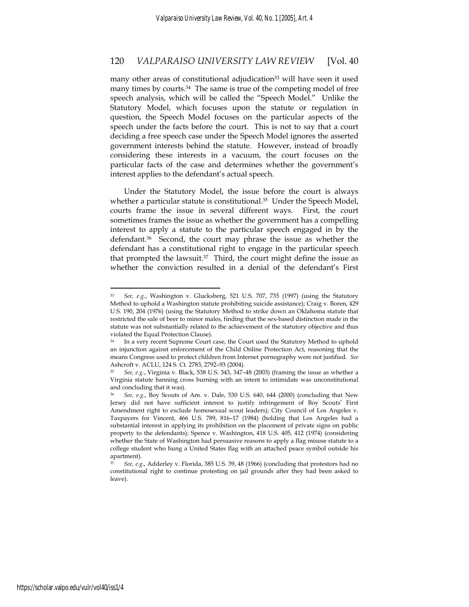many other areas of constitutional adjudication<sup>33</sup> will have seen it used many times by courts.<sup>34</sup> The same is true of the competing model of free speech analysis, which will be called the "Speech Model." Unlike the Statutory Model, which focuses upon the statute or regulation in question, the Speech Model focuses on the particular aspects of the speech under the facts before the court. This is not to say that a court deciding a free speech case under the Speech Model ignores the asserted government interests behind the statute. However, instead of broadly considering these interests in a vacuum, the court focuses on the particular facts of the case and determines whether the government's interest applies to the defendant's actual speech.

Under the Statutory Model, the issue before the court is always whether a particular statute is constitutional.<sup>35</sup> Under the Speech Model, courts frame the issue in several different ways. First, the court sometimes frames the issue as whether the government has a compelling interest to apply a statute to the particular speech engaged in by the defendant.36 Second, the court may phrase the issue as whether the defendant has a constitutional right to engage in the particular speech that prompted the lawsuit. $37$  Third, the court might define the issue as whether the conviction resulted in a denial of the defendant's First

<sup>33</sup> *See, e.g.*, Washington v. Glucksberg, 521 U.S. 707, 735 (1997) (using the Statutory Method to uphold a Washington statute prohibiting suicide assistance); Craig v. Boren, 429 U.S. 190, 204 (1976) (using the Statutory Method to strike down an Oklahoma statute that restricted the sale of beer to minor males, finding that the sex-based distinction made in the statute was not substantially related to the achievement of the statutory objective and thus violated the Equal Protection Clause).

In a very recent Supreme Court case, the Court used the Statutory Method to uphold an injunction against enforcement of the Child Online Protection Act, reasoning that the means Congress used to protect children from Internet pornography were not justified. *See* Ashcroft v. ACLU, 124 S. Ct. 2783, 2792–93 (2004).

<sup>35</sup> *See, e.g.*, Virginia v. Black, 538 U.S. 343, 347–48 (2003) (framing the issue as whether a Virginia statute banning cross burning with an intent to intimidate was unconstitutional and concluding that it was).

<sup>36</sup> *See, e.g.*, Boy Scouts of Am. v. Dale, 530 U.S. 640, 644 (2000) (concluding that New Jersey did not have sufficient interest to justify infringement of Boy Scouts' First Amendment right to exclude homosexual scout leaders); City Council of Los Angeles v. Taxpayers for Vincent, 466 U.S. 789, 816–17 (1984) (holding that Los Angeles had a substantial interest in applying its prohibition on the placement of private signs on public property to the defendants); Spence v. Washington, 418 U.S. 405, 412 (1974) (considering whether the State of Washington had persuasive reasons to apply a flag misuse statute to a college student who hung a United States flag with an attached peace symbol outside his apartment).

<sup>37</sup> *See, e.g.*, Adderley v. Florida, 385 U.S. 39, 48 (1966) (concluding that protestors had no constitutional right to continue protesting on jail grounds after they had been asked to leave).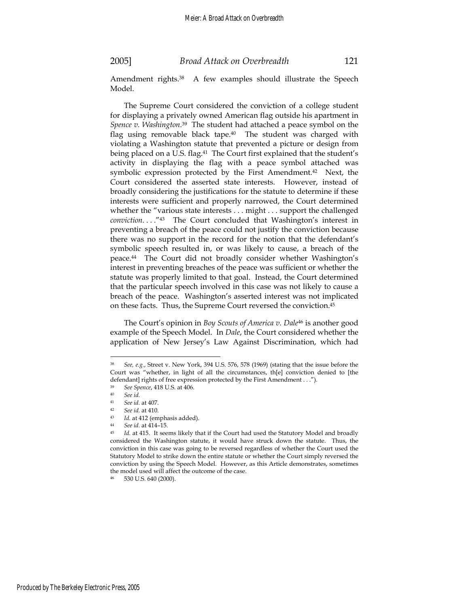Amendment rights.<sup>38</sup> A few examples should illustrate the Speech Model.

The Supreme Court considered the conviction of a college student for displaying a privately owned American flag outside his apartment in *Spence v. Washington*. 39 The student had attached a peace symbol on the flag using removable black tape.<sup>40</sup> The student was charged with violating a Washington statute that prevented a picture or design from being placed on a U.S. flag.<sup>41</sup> The Court first explained that the student's activity in displaying the flag with a peace symbol attached was symbolic expression protected by the First Amendment.<sup>42</sup> Next, the Court considered the asserted state interests. However, instead of broadly considering the justifications for the statute to determine if these interests were sufficient and properly narrowed, the Court determined whether the "various state interests . . . might . . . support the challenged *conviction*. . . ."43 The Court concluded that Washington's interest in preventing a breach of the peace could not justify the conviction because there was no support in the record for the notion that the defendant's symbolic speech resulted in, or was likely to cause, a breach of the peace.44 The Court did not broadly consider whether Washington's interest in preventing breaches of the peace was sufficient or whether the statute was properly limited to that goal. Instead, the Court determined that the particular speech involved in this case was not likely to cause a breach of the peace. Washington's asserted interest was not implicated on these facts. Thus, the Supreme Court reversed the conviction.45

The Court's opinion in *Boy Scouts of America v. Dale*46 is another good example of the Speech Model. In *Dale*, the Court considered whether the application of New Jersey's Law Against Discrimination, which had

See, e.g., Street v. New York, 394 U.S. 576, 578 (1969) (stating that the issue before the Court was "whether, in light of all the circumstances, th[e] conviction denied to [the defendant] rights of free expression protected by the First Amendment . . .").

<sup>39</sup> *See Spence*, 418 U.S. at 406. <sup>40</sup> *See id.*

<sup>41</sup> *See id.* at 407.

<sup>42</sup> See id. at 410.<br>
43 Id. at 412 (emphasis added).<br>
4*4 See id.* at 414–15.<br>
45 Id. at 415. It seems likely that if the Court had used the Statutory Model and broadly considered the Washington statute, it would have struck down the statute. Thus, the conviction in this case was going to be reversed regardless of whether the Court used the Statutory Model to strike down the entire statute or whether the Court simply reversed the conviction by using the Speech Model. However, as this Article demonstrates, sometimes the model used will affect the outcome of the case.

<sup>530</sup> U.S. 640 (2000).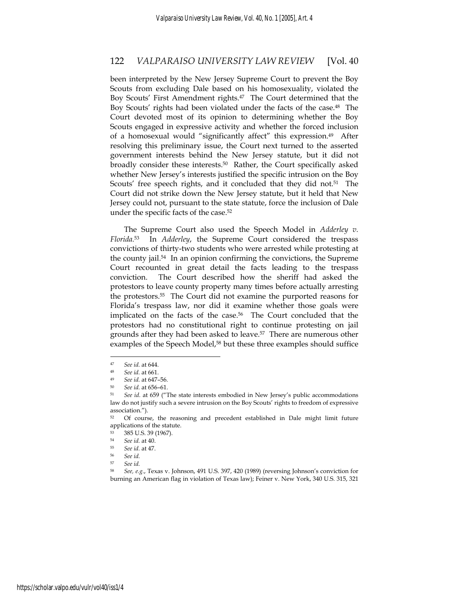been interpreted by the New Jersey Supreme Court to prevent the Boy Scouts from excluding Dale based on his homosexuality, violated the Boy Scouts' First Amendment rights.<sup>47</sup> The Court determined that the Boy Scouts' rights had been violated under the facts of the case.48 The Court devoted most of its opinion to determining whether the Boy Scouts engaged in expressive activity and whether the forced inclusion of a homosexual would "significantly affect" this expression.49 After resolving this preliminary issue, the Court next turned to the asserted government interests behind the New Jersey statute, but it did not broadly consider these interests.50 Rather, the Court specifically asked whether New Jersey's interests justified the specific intrusion on the Boy Scouts' free speech rights, and it concluded that they did not.<sup>51</sup> The Court did not strike down the New Jersey statute, but it held that New Jersey could not, pursuant to the state statute, force the inclusion of Dale under the specific facts of the case.52

The Supreme Court also used the Speech Model in *Adderley v. Florida.*53 In *Adderley*, the Supreme Court considered the trespass convictions of thirty-two students who were arrested while protesting at the county jail.<sup>54</sup> In an opinion confirming the convictions, the Supreme Court recounted in great detail the facts leading to the trespass conviction. The Court described how the sheriff had asked the protestors to leave county property many times before actually arresting the protestors.55 The Court did not examine the purported reasons for Florida's trespass law, nor did it examine whether those goals were implicated on the facts of the case.<sup>56</sup> The Court concluded that the protestors had no constitutional right to continue protesting on jail grounds after they had been asked to leave.57 There are numerous other examples of the Speech Model,<sup>58</sup> but these three examples should suffice

<sup>47</sup> *See id.* at 644.

<sup>48</sup> *See id.* at 661. 49 *See id.* at 647–56. 50 *See id.* at 656–61.

<sup>51</sup> *See id.* at 659 ("The state interests embodied in New Jersey's public accommodations law do not justify such a severe intrusion on the Boy Scouts' rights to freedom of expressive association.").

<sup>&</sup>lt;sup>52</sup> Of course, the reasoning and precedent established in Dale might limit future applications of the statute.

<sup>53 385</sup> U.S. 39 (1967).

<sup>54</sup> *See id.* at 40.

<sup>55</sup> *See id.* at 47. 56 *See id.*

<sup>57</sup> *See id.*

<sup>58</sup> *See, e.g.*, Texas v. Johnson, 491 U.S. 397, 420 (1989) (reversing Johnson's conviction for burning an American flag in violation of Texas law); Feiner v. New York, 340 U.S. 315, 321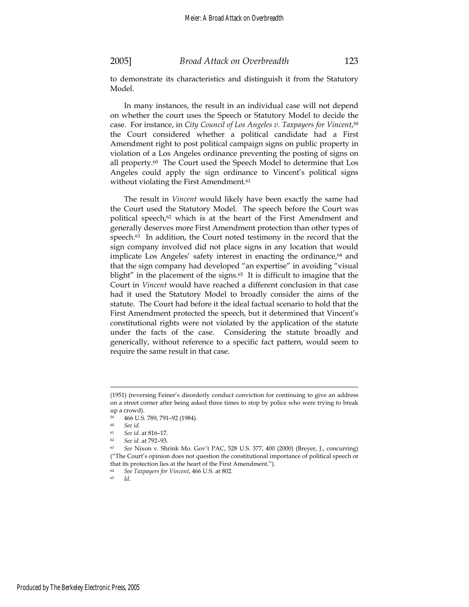to demonstrate its characteristics and distinguish it from the Statutory Model.

In many instances, the result in an individual case will not depend on whether the court uses the Speech or Statutory Model to decide the case. For instance, in *City Council of Los Angeles v. Taxpayers for Vincent*, 59 the Court considered whether a political candidate had a First Amendment right to post political campaign signs on public property in violation of a Los Angeles ordinance preventing the posting of signs on all property.<sup>60</sup> The Court used the Speech Model to determine that Los Angeles could apply the sign ordinance to Vincent's political signs without violating the First Amendment.<sup>61</sup>

The result in *Vincent* would likely have been exactly the same had the Court used the Statutory Model. The speech before the Court was political speech,<sup>62</sup> which is at the heart of the First Amendment and generally deserves more First Amendment protection than other types of speech.<sup>63</sup> In addition, the Court noted testimony in the record that the sign company involved did not place signs in any location that would implicate Los Angeles' safety interest in enacting the ordinance, $64$  and that the sign company had developed "an expertise" in avoiding "visual blight" in the placement of the signs.<sup>65</sup> It is difficult to imagine that the Court in *Vincent* would have reached a different conclusion in that case had it used the Statutory Model to broadly consider the aims of the statute. The Court had before it the ideal factual scenario to hold that the First Amendment protected the speech, but it determined that Vincent's constitutional rights were not violated by the application of the statute under the facts of the case. Considering the statute broadly and generically, without reference to a specific fact pattern, would seem to require the same result in that case.

<sup>(1951) (</sup>reversing Feiner's disorderly conduct conviction for continuing to give an address on a street corner after being asked three times to stop by police who were trying to break up a crowd).

 $^{59}$  466 U.S. 789, 791-92 (1984).

<sup>60</sup> *See id.*

<sup>61</sup> *See id.* at 816–17.

<sup>62</sup> *See id.* at 792–93.

<sup>63</sup> *See* Nixon v. Shrink Mo. Gov't PAC, 528 U.S. 377, 400 (2000) (Breyer, J., concurring) ("The Court's opinion does not question the constitutional importance of political speech or that its protection lies at the heart of the First Amendment.").

<sup>64</sup> *See Taxpayers for Vincent*, 466 U.S. at 802. 65 *Id.*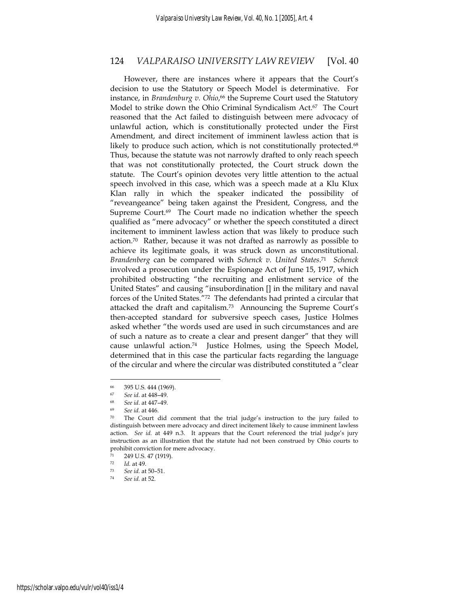However, there are instances where it appears that the Court's decision to use the Statutory or Speech Model is determinative. For instance, in *Brandenburg v. Ohio*, 66 the Supreme Court used the Statutory Model to strike down the Ohio Criminal Syndicalism Act.67 The Court reasoned that the Act failed to distinguish between mere advocacy of unlawful action, which is constitutionally protected under the First Amendment, and direct incitement of imminent lawless action that is likely to produce such action, which is not constitutionally protected.<sup>68</sup> Thus, because the statute was not narrowly drafted to only reach speech that was not constitutionally protected, the Court struck down the statute. The Court's opinion devotes very little attention to the actual speech involved in this case, which was a speech made at a Klu Klux Klan rally in which the speaker indicated the possibility of "reveangeance" being taken against the President, Congress, and the Supreme Court.<sup>69</sup> The Court made no indication whether the speech qualified as "mere advocacy" or whether the speech constituted a direct incitement to imminent lawless action that was likely to produce such action.70 Rather, because it was not drafted as narrowly as possible to achieve its legitimate goals, it was struck down as unconstitutional. *Brandenberg* can be compared with *Schenck v. United States*. 71 *Schenck* involved a prosecution under the Espionage Act of June 15, 1917, which prohibited obstructing "the recruiting and enlistment service of the United States" and causing "insubordination [] in the military and naval forces of the United States."72 The defendants had printed a circular that attacked the draft and capitalism.73 Announcing the Supreme Court's then-accepted standard for subversive speech cases, Justice Holmes asked whether "the words used are used in such circumstances and are of such a nature as to create a clear and present danger" that they will cause unlawful action.74 Justice Holmes, using the Speech Model, determined that in this case the particular facts regarding the language of the circular and where the circular was distributed constituted a "clear

<sup>395</sup> U.S. 444 (1969).

<sup>67</sup> *See id.* at 448–49. 68 *See id*. at 447–49.

<sup>69</sup> *See id.* at 446. 70 The Court did comment that the trial judge's instruction to the jury failed to distinguish between mere advocacy and direct incitement likely to cause imminent lawless action. *See id.* at 449 n.3. It appears that the Court referenced the trial judge's jury instruction as an illustration that the statute had not been construed by Ohio courts to prohibit conviction for mere advocacy.

<sup>249</sup> U.S. 47 (1919).

<sup>72</sup> *Id.* at 49.

<sup>73</sup> *See id.* at 50–51. 74 *See id.* at 52.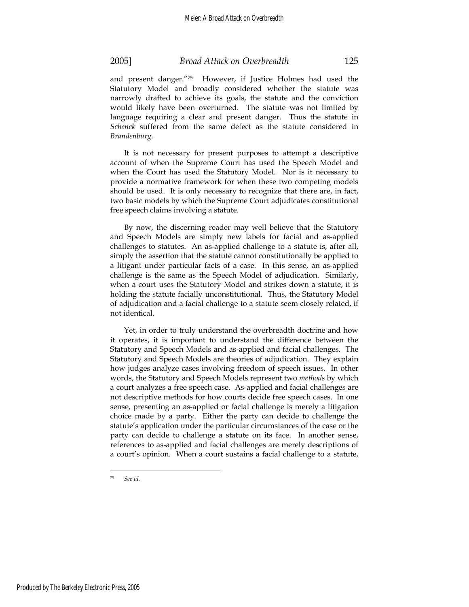and present danger."75 However, if Justice Holmes had used the Statutory Model and broadly considered whether the statute was narrowly drafted to achieve its goals, the statute and the conviction would likely have been overturned. The statute was not limited by language requiring a clear and present danger. Thus the statute in *Schenck* suffered from the same defect as the statute considered in *Brandenburg.*

It is not necessary for present purposes to attempt a descriptive account of when the Supreme Court has used the Speech Model and when the Court has used the Statutory Model. Nor is it necessary to provide a normative framework for when these two competing models should be used. It is only necessary to recognize that there are, in fact, two basic models by which the Supreme Court adjudicates constitutional free speech claims involving a statute.

By now, the discerning reader may well believe that the Statutory and Speech Models are simply new labels for facial and as-applied challenges to statutes. An as-applied challenge to a statute is, after all, simply the assertion that the statute cannot constitutionally be applied to a litigant under particular facts of a case. In this sense, an as-applied challenge is the same as the Speech Model of adjudication. Similarly, when a court uses the Statutory Model and strikes down a statute, it is holding the statute facially unconstitutional. Thus, the Statutory Model of adjudication and a facial challenge to a statute seem closely related, if not identical.

Yet, in order to truly understand the overbreadth doctrine and how it operates, it is important to understand the difference between the Statutory and Speech Models and as-applied and facial challenges. The Statutory and Speech Models are theories of adjudication. They explain how judges analyze cases involving freedom of speech issues. In other words, the Statutory and Speech Models represent two *methods* by which a court analyzes a free speech case. As-applied and facial challenges are not descriptive methods for how courts decide free speech cases. In one sense, presenting an as-applied or facial challenge is merely a litigation choice made by a party. Either the party can decide to challenge the statute's application under the particular circumstances of the case or the party can decide to challenge a statute on its face. In another sense, references to as-applied and facial challenges are merely descriptions of a court's opinion. When a court sustains a facial challenge to a statute,

<sup>75</sup> *See id.*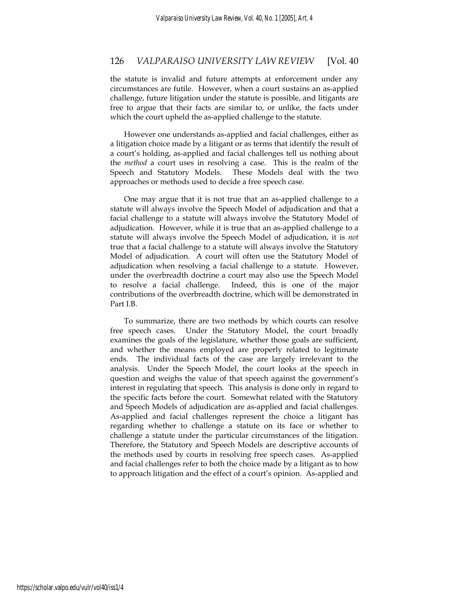the statute is invalid and future attempts at enforcement under any circumstances are futile. However, when a court sustains an as-applied challenge, future litigation under the statute is possible, and litigants are free to argue that their facts are similar to, or unlike, the facts under which the court upheld the as-applied challenge to the statute.

However one understands as-applied and facial challenges, either as a litigation choice made by a litigant or as terms that identify the result of a court's holding, as-applied and facial challenges tell us nothing about the *method* a court uses in resolving a case. This is the realm of the Speech and Statutory Models. These Models deal with the two approaches or methods used to decide a free speech case.

One may argue that it is not true that an as-applied challenge to a statute will always involve the Speech Model of adjudication and that a facial challenge to a statute will always involve the Statutory Model of adjudication. However, while it is true that an as-applied challenge to a statute will always involve the Speech Model of adjudication, it is *not* true that a facial challenge to a statute will always involve the Statutory Model of adjudication. A court will often use the Statutory Model of adjudication when resolving a facial challenge to a statute. However, under the overbreadth doctrine a court may also use the Speech Model to resolve a facial challenge. Indeed, this is one of the major contributions of the overbreadth doctrine, which will be demonstrated in Part I.B.

To summarize, there are two methods by which courts can resolve free speech cases. Under the Statutory Model, the court broadly examines the goals of the legislature, whether those goals are sufficient, and whether the means employed are properly related to legitimate ends. The individual facts of the case are largely irrelevant to the analysis. Under the Speech Model, the court looks at the speech in question and weighs the value of that speech against the government's interest in regulating that speech. This analysis is done only in regard to the specific facts before the court. Somewhat related with the Statutory and Speech Models of adjudication are as-applied and facial challenges. As-applied and facial challenges represent the choice a litigant has regarding whether to challenge a statute on its face or whether to challenge a statute under the particular circumstances of the litigation. Therefore, the Statutory and Speech Models are descriptive accounts of the methods used by courts in resolving free speech cases. As-applied and facial challenges refer to both the choice made by a litigant as to how to approach litigation and the effect of a court's opinion. As-applied and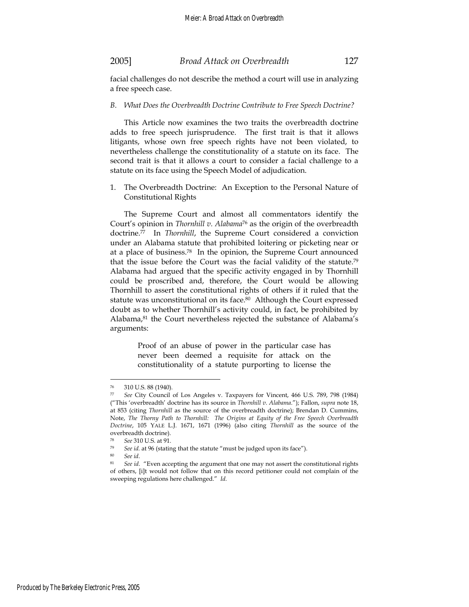facial challenges do not describe the method a court will use in analyzing a free speech case.

#### *B. What Does the Overbreadth Doctrine Contribute to Free Speech Doctrine?*

This Article now examines the two traits the overbreadth doctrine adds to free speech jurisprudence. The first trait is that it allows litigants, whose own free speech rights have not been violated, to nevertheless challenge the constitutionality of a statute on its face. The second trait is that it allows a court to consider a facial challenge to a statute on its face using the Speech Model of adjudication.

1. The Overbreadth Doctrine: An Exception to the Personal Nature of Constitutional Rights

The Supreme Court and almost all commentators identify the Court's opinion in *Thornhill v. Alabama*<sup>76</sup> as the origin of the overbreadth doctrine.77 In *Thornhill*, the Supreme Court considered a conviction under an Alabama statute that prohibited loitering or picketing near or at a place of business.78 In the opinion, the Supreme Court announced that the issue before the Court was the facial validity of the statute.79 Alabama had argued that the specific activity engaged in by Thornhill could be proscribed and, therefore, the Court would be allowing Thornhill to assert the constitutional rights of others if it ruled that the statute was unconstitutional on its face.<sup>80</sup> Although the Court expressed doubt as to whether Thornhill's activity could, in fact, be prohibited by Alabama,<sup>81</sup> the Court nevertheless rejected the substance of Alabama's arguments:

> Proof of an abuse of power in the particular case has never been deemed a requisite for attack on the constitutionality of a statute purporting to license the

<sup>76 310</sup> U.S. 88 (1940).

<sup>77</sup> *See* City Council of Los Angeles v. Taxpayers for Vincent, 466 U.S. 789, 798 (1984) ("This 'overbreadth' doctrine has its source in *Thornhill v. Alabama*."); Fallon, *supra* note 18, at 853 (citing *Thornhill* as the source of the overbreadth doctrine); Brendan D. Cummins, Note, *The Thorny Path to Thornhill: The Origins at Equity of the Free Speech Overbreadth Doctrine*, 105 YALE L.J. 1671, 1671 (1996) (also citing *Thornhill* as the source of the overbreadth doctrine).

<sup>78</sup> *See* 310 U.S. at 91.

<sup>&</sup>lt;sup>79</sup> See id. at 96 (stating that the statute "must be judged upon its face").<br><sup>80</sup> See id. <sup>81</sup> See id. "Even accepting the argument that one may not assert the constitutional rights of others, [i]t would not follow that on this record petitioner could not complain of the sweeping regulations here challenged." *Id.*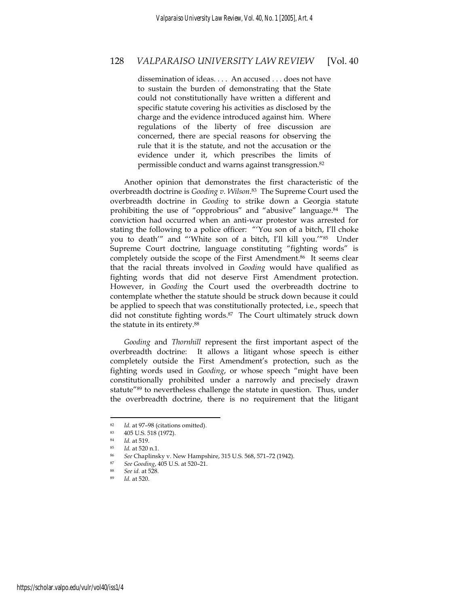dissemination of ideas. . . . An accused . . . does not have to sustain the burden of demonstrating that the State could not constitutionally have written a different and specific statute covering his activities as disclosed by the charge and the evidence introduced against him. Where regulations of the liberty of free discussion are concerned, there are special reasons for observing the rule that it is the statute, and not the accusation or the evidence under it, which prescribes the limits of permissible conduct and warns against transgression.82

Another opinion that demonstrates the first characteristic of the overbreadth doctrine is *Gooding v. Wilson*. 83 The Supreme Court used the overbreadth doctrine in *Gooding* to strike down a Georgia statute prohibiting the use of "opprobrious" and "abusive" language.84 The conviction had occurred when an anti-war protestor was arrested for stating the following to a police officer: "'You son of a bitch, I'll choke you to death'" and "'White son of a bitch, I'll kill you.'"85 Under Supreme Court doctrine, language constituting "fighting words" is completely outside the scope of the First Amendment.86 It seems clear that the racial threats involved in *Gooding* would have qualified as fighting words that did not deserve First Amendment protection. However, in *Gooding* the Court used the overbreadth doctrine to contemplate whether the statute should be struck down because it could be applied to speech that was constitutionally protected, i.e., speech that did not constitute fighting words.87 The Court ultimately struck down the statute in its entirety.88

*Gooding* and *Thornhill* represent the first important aspect of the overbreadth doctrine: It allows a litigant whose speech is either completely outside the First Amendment's protection, such as the fighting words used in *Gooding*, or whose speech "might have been constitutionally prohibited under a narrowly and precisely drawn statute"89 to nevertheless challenge the statute in question. Thus, under the overbreadth doctrine, there is no requirement that the litigant

<sup>82</sup> *Id.* at 97–98 (citations omitted). 83 405 U.S. 518 (1972).

<sup>84</sup> *Id.* at 519.<br>85 *Id.* at 520.

<sup>85</sup> *Id.* at 520 n.1. 86 *See* Chaplinsky v. New Hampshire, 315 U.S. 568, 571–72 (1942). 87 *See Gooding*, 405 U.S. at 520–21.

<sup>8</sup>*ee id.* at 528.<br>*Id.* at 520.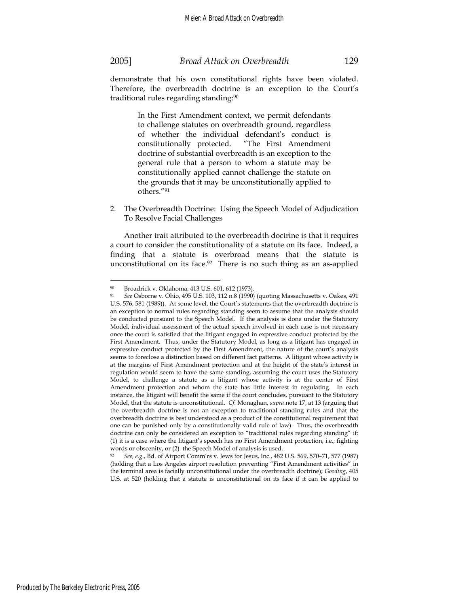$\overline{a}$ 

demonstrate that his own constitutional rights have been violated. Therefore, the overbreadth doctrine is an exception to the Court's traditional rules regarding standing:90

> In the First Amendment context, we permit defendants to challenge statutes on overbreadth ground, regardless of whether the individual defendant's conduct is constitutionally protected. "The First Amendment doctrine of substantial overbreadth is an exception to the general rule that a person to whom a statute may be constitutionally applied cannot challenge the statute on the grounds that it may be unconstitutionally applied to others."91

2. The Overbreadth Doctrine: Using the Speech Model of Adjudication To Resolve Facial Challenges

Another trait attributed to the overbreadth doctrine is that it requires a court to consider the constitutionality of a statute on its face. Indeed, a finding that a statute is overbroad means that the statute is unconstitutional on its face.<sup>92</sup> There is no such thing as an as-applied

words or obscenity, or (2) the Speech Model of analysis is used. 92 *See, e.g.*, Bd. of Airport Comm'rs v. Jews for Jesus, Inc*.*, 482 U.S. 569, 570–71, 577 (1987) (holding that a Los Angeles airport resolution preventing "First Amendment activities" in the terminal area is facially unconstitutional under the overbreadth doctrine); *Gooding*, 405 U.S. at 520 (holding that a statute is unconstitutional on its face if it can be applied to

<sup>90</sup> Broadrick v. Oklahoma, 413 U.S. 601, 612 (1973).

<sup>91</sup> *See* Osborne v. Ohio, 495 U.S. 103, 112 n.8 (1990) (quoting Massachusetts v. Oakes, 491 U.S. 576, 581 (1989)). At some level, the Court's statements that the overbreadth doctrine is an exception to normal rules regarding standing seem to assume that the analysis should be conducted pursuant to the Speech Model. If the analysis is done under the Statutory Model, individual assessment of the actual speech involved in each case is not necessary once the court is satisfied that the litigant engaged in expressive conduct protected by the First Amendment. Thus, under the Statutory Model, as long as a litigant has engaged in expressive conduct protected by the First Amendment, the nature of the court's analysis seems to foreclose a distinction based on different fact patterns. A litigant whose activity is at the margins of First Amendment protection and at the height of the state's interest in regulation would seem to have the same standing, assuming the court uses the Statutory Model, to challenge a statute as a litigant whose activity is at the center of First Amendment protection and whom the state has little interest in regulating. In each instance, the litigant will benefit the same if the court concludes, pursuant to the Statutory Model, that the statute is unconstitutional. *Cf.* Monaghan, *supra* note 17, at 13 (arguing that the overbreadth doctrine is not an exception to traditional standing rules and that the overbreadth doctrine is best understood as a product of the constitutional requirement that one can be punished only by a constitutionally valid rule of law). Thus, the overbreadth doctrine can only be considered an exception to "traditional rules regarding standing" if: (1) it is a case where the litigant's speech has no First Amendment protection, i.e., fighting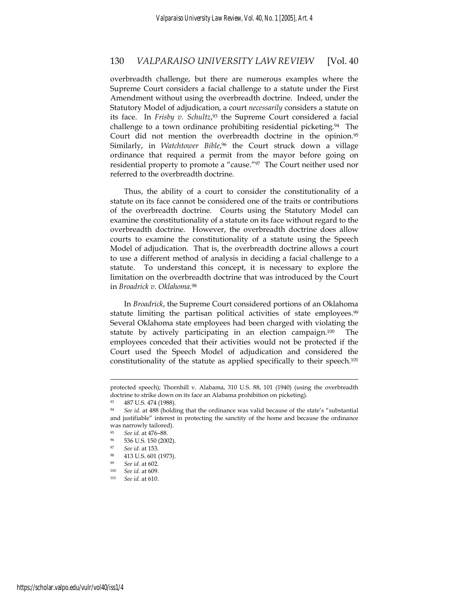overbreadth challenge, but there are numerous examples where the Supreme Court considers a facial challenge to a statute under the First Amendment without using the overbreadth doctrine. Indeed, under the Statutory Model of adjudication, a court *necessarily* considers a statute on its face. In *Frisby v. Schultz*, 93 the Supreme Court considered a facial challenge to a town ordinance prohibiting residential picketing.94 The Court did not mention the overbreadth doctrine in the opinion.<sup>95</sup> Similarly, in *Watchtower Bible*, 96 the Court struck down a village ordinance that required a permit from the mayor before going on residential property to promote a "cause."97 The Court neither used nor referred to the overbreadth doctrine.

Thus, the ability of a court to consider the constitutionality of a statute on its face cannot be considered one of the traits or contributions of the overbreadth doctrine. Courts using the Statutory Model can examine the constitutionality of a statute on its face without regard to the overbreadth doctrine. However, the overbreadth doctrine does allow courts to examine the constitutionality of a statute using the Speech Model of adjudication. That is, the overbreadth doctrine allows a court to use a different method of analysis in deciding a facial challenge to a statute. To understand this concept, it is necessary to explore the limitation on the overbreadth doctrine that was introduced by the Court in *Broadrick v. Oklahoma.*<sup>98</sup>

In *Broadrick*, the Supreme Court considered portions of an Oklahoma statute limiting the partisan political activities of state employees.<sup>99</sup> Several Oklahoma state employees had been charged with violating the statute by actively participating in an election campaign.100 The employees conceded that their activities would not be protected if the Court used the Speech Model of adjudication and considered the constitutionality of the statute as applied specifically to their speech.101

protected speech); Thornhill v. Alabama, 310 U.S. 88, 101 (1940) (using the overbreadth doctrine to strike down on its face an Alabama prohibition on picketing).

<sup>93 487</sup> U.S. 474 (1988).

<sup>94</sup> *See id.* at 488 (holding that the ordinance was valid because of the state's "substantial and justifiable" interest in protecting the sanctity of the home and because the ordinance was narrowly tailored).

<sup>95</sup> *See id.* at 476–88.

<sup>96 536</sup> U.S. 150 (2002).

*See id.* at 153.<br>413 U.S. 601 (1973).

<sup>99</sup> *See id.* at 602.

<sup>100</sup> *See id.* at 609. 101 *See id.* at 610.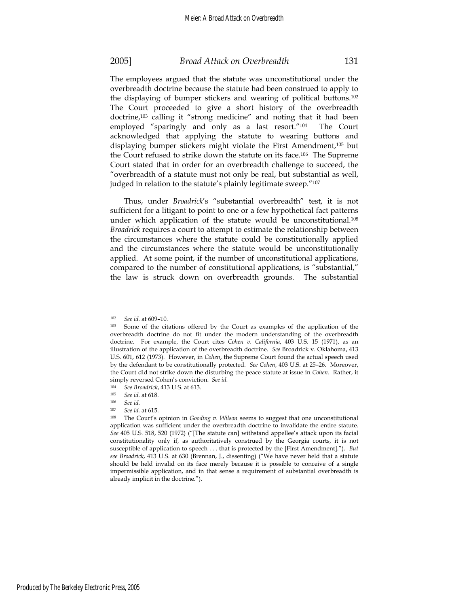The employees argued that the statute was unconstitutional under the overbreadth doctrine because the statute had been construed to apply to the displaying of bumper stickers and wearing of political buttons.102 The Court proceeded to give a short history of the overbreadth doctrine,103 calling it "strong medicine" and noting that it had been employed "sparingly and only as a last resort."104 The Court acknowledged that applying the statute to wearing buttons and displaying bumper stickers might violate the First Amendment,105 but the Court refused to strike down the statute on its face.106 The Supreme Court stated that in order for an overbreadth challenge to succeed, the "overbreadth of a statute must not only be real, but substantial as well, judged in relation to the statute's plainly legitimate sweep."107

Thus, under *Broadrick*'s "substantial overbreadth" test, it is not sufficient for a litigant to point to one or a few hypothetical fact patterns under which application of the statute would be unconstitutional.<sup>108</sup> *Broadrick* requires a court to attempt to estimate the relationship between the circumstances where the statute could be constitutionally applied and the circumstances where the statute would be unconstitutionally applied. At some point, if the number of unconstitutional applications, compared to the number of constitutional applications, is "substantial," the law is struck down on overbreadth grounds. The substantial

<sup>&</sup>lt;sup>102</sup> See id. at 609–10.<br><sup>103</sup> Some of the citations offered by the Court as examples of the application of the overbreadth doctrine do not fit under the modern understanding of the overbreadth doctrine. For example, the Court cites *Cohen v. California*, 403 U.S. 15 (1971), as an illustration of the application of the overbreadth doctrine. *See* Broadrick v. Oklahoma, 413 U.S. 601, 612 (1973). However, in *Cohen*, the Supreme Court found the actual speech used by the defendant to be constitutionally protected. *See Cohen*, 403 U.S. at 25–26. Moreover, the Court did not strike down the disturbing the peace statute at issue in *Cohen*. Rather, it simply reversed Cohen's conviction. *See id.*

<sup>104</sup> *See Broadrick*, 413 U.S. at 613.<br>105 *See id at* 618

<sup>105</sup> *See id.* at 618. 106 *See id.*

<sup>&</sup>lt;sup>107</sup> See id. at 615.<br><sup>108</sup> The Court's opinion in *Gooding v. Wilson* seems to suggest that one unconstitutional application was sufficient under the overbreadth doctrine to invalidate the entire statute. *See* 405 U.S. 518, 520 (1972) ("[The statute can] withstand appellee's attack upon its facial constitutionality only if, as authoritatively construed by the Georgia courts, it is not susceptible of application to speech . . . that is protected by the [First Amendment]."). *But see Broadrick*, 413 U.S. at 630 (Brennan, J., dissenting) ("We have never held that a statute should be held invalid on its face merely because it is possible to conceive of a single impermissible application, and in that sense a requirement of substantial overbreadth is already implicit in the doctrine.").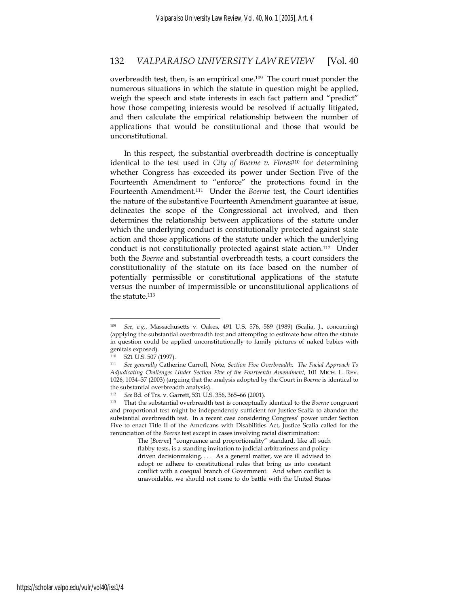overbreadth test, then, is an empirical one.109 The court must ponder the numerous situations in which the statute in question might be applied, weigh the speech and state interests in each fact pattern and "predict" how those competing interests would be resolved if actually litigated, and then calculate the empirical relationship between the number of applications that would be constitutional and those that would be unconstitutional.

In this respect, the substantial overbreadth doctrine is conceptually identical to the test used in *City of Boerne v. Flores*110 for determining whether Congress has exceeded its power under Section Five of the Fourteenth Amendment to "enforce" the protections found in the Fourteenth Amendment.111 Under the *Boerne* test, the Court identifies the nature of the substantive Fourteenth Amendment guarantee at issue, delineates the scope of the Congressional act involved, and then determines the relationship between applications of the statute under which the underlying conduct is constitutionally protected against state action and those applications of the statute under which the underlying conduct is not constitutionally protected against state action.<sup>112</sup> Under both the *Boerne* and substantial overbreadth tests, a court considers the constitutionality of the statute on its face based on the number of potentially permissible or constitutional applications of the statute versus the number of impermissible or unconstitutional applications of the statute.113

 $\overline{a}$ 

The [*Boerne*] "congruence and proportionality" standard, like all such flabby tests, is a standing invitation to judicial arbitrariness and policydriven decisionmaking. . . . As a general matter, we are ill advised to adopt or adhere to constitutional rules that bring us into constant conflict with a coequal branch of Government. And when conflict is unavoidable, we should not come to do battle with the United States

<sup>109</sup> *See, e.g.*, Massachusetts v. Oakes, 491 U.S. 576, 589 (1989) (Scalia, J., concurring) (applying the substantial overbreadth test and attempting to estimate how often the statute in question could be applied unconstitutionally to family pictures of naked babies with genitals exposed).

<sup>110 521</sup> U.S. 507 (1997).

<sup>111</sup> *See generally* Catherine Carroll, Note, *Section Five Overbreadth: The Facial Approach To Adjudicating Challenges Under Section Five of the Fourteenth Amendment*, 101 MICH. L. REV. 1026, 1034–37 (2003) (arguing that the analysis adopted by the Court in *Boerne* is identical to the substantial overbreadth analysis).

<sup>112</sup> *See* Bd. of Trs. v. Garrett, 531 U.S. 356, 365–66 (2001). 113 That the substantial overbreadth test is conceptually identical to the *Boerne* congruent and proportional test might be independently sufficient for Justice Scalia to abandon the substantial overbreadth test. In a recent case considering Congress' power under Section Five to enact Title II of the Americans with Disabilities Act, Justice Scalia called for the renunciation of the *Boerne* test except in cases involving racial discrimination: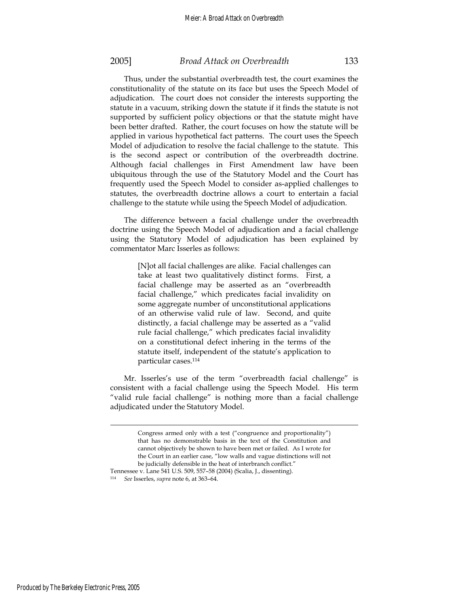Thus, under the substantial overbreadth test, the court examines the constitutionality of the statute on its face but uses the Speech Model of adjudication. The court does not consider the interests supporting the statute in a vacuum, striking down the statute if it finds the statute is not supported by sufficient policy objections or that the statute might have been better drafted. Rather, the court focuses on how the statute will be applied in various hypothetical fact patterns. The court uses the Speech Model of adjudication to resolve the facial challenge to the statute. This is the second aspect or contribution of the overbreadth doctrine. Although facial challenges in First Amendment law have been ubiquitous through the use of the Statutory Model and the Court has frequently used the Speech Model to consider as-applied challenges to statutes, the overbreadth doctrine allows a court to entertain a facial challenge to the statute while using the Speech Model of adjudication.

The difference between a facial challenge under the overbreadth doctrine using the Speech Model of adjudication and a facial challenge using the Statutory Model of adjudication has been explained by commentator Marc Isserles as follows:

> [N]ot all facial challenges are alike. Facial challenges can take at least two qualitatively distinct forms. First, a facial challenge may be asserted as an "overbreadth facial challenge," which predicates facial invalidity on some aggregate number of unconstitutional applications of an otherwise valid rule of law. Second, and quite distinctly, a facial challenge may be asserted as a "valid rule facial challenge," which predicates facial invalidity on a constitutional defect inhering in the terms of the statute itself, independent of the statute's application to particular cases.114

Mr. Isserles's use of the term "overbreadth facial challenge" is consistent with a facial challenge using the Speech Model. His term "valid rule facial challenge" is nothing more than a facial challenge adjudicated under the Statutory Model.

Produced by The Berkeley Electronic Press, 2005

Congress armed only with a test ("congruence and proportionality") that has no demonstrable basis in the text of the Constitution and cannot objectively be shown to have been met or failed. As I wrote for the Court in an earlier case, "low walls and vague distinctions will not be judicially defensible in the heat of interbranch conflict."

Tennessee v. Lane 541 U.S. 509, 557–58 (2004) (Scalia, J., dissenting). <sup>114</sup> *See* Isserles, *supra* note 6, at 363–64.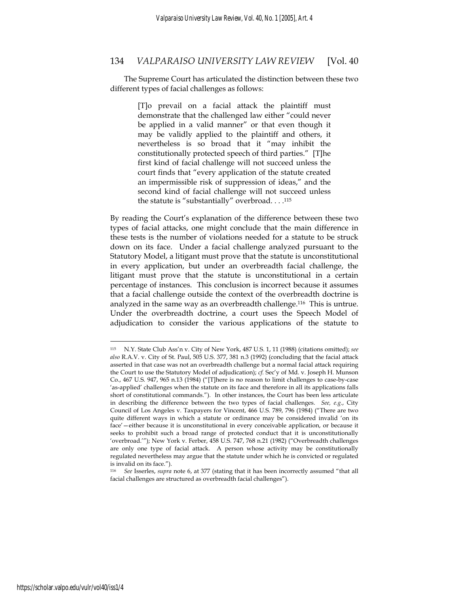The Supreme Court has articulated the distinction between these two different types of facial challenges as follows:

> [T]o prevail on a facial attack the plaintiff must demonstrate that the challenged law either "could never be applied in a valid manner" or that even though it may be validly applied to the plaintiff and others, it nevertheless is so broad that it "may inhibit the constitutionally protected speech of third parties." [T]he first kind of facial challenge will not succeed unless the court finds that "every application of the statute created an impermissible risk of suppression of ideas," and the second kind of facial challenge will not succeed unless the statute is "substantially" overbroad. . . .115

By reading the Court's explanation of the difference between these two types of facial attacks, one might conclude that the main difference in these tests is the number of violations needed for a statute to be struck down on its face. Under a facial challenge analyzed pursuant to the Statutory Model, a litigant must prove that the statute is unconstitutional in every application, but under an overbreadth facial challenge, the litigant must prove that the statute is unconstitutional in a certain percentage of instances. This conclusion is incorrect because it assumes that a facial challenge outside the context of the overbreadth doctrine is analyzed in the same way as an overbreadth challenge.116 This is untrue. Under the overbreadth doctrine, a court uses the Speech Model of adjudication to consider the various applications of the statute to

<sup>115</sup> N.Y. State Club Ass'n v. City of New York, 487 U.S. 1, 11 (1988) (citations omitted); *see also* R.A.V. v. City of St. Paul, 505 U.S. 377, 381 n.3 (1992) (concluding that the facial attack asserted in that case was not an overbreadth challenge but a normal facial attack requiring the Court to use the Statutory Model of adjudication); *cf.* Sec'y of Md. v. Joseph H. Munson Co*.*, 467 U.S. 947, 965 n.13 (1984) ("[T]here is no reason to limit challenges to case-by-case 'as-applied' challenges when the statute on its face and therefore in all its applications falls short of constitutional commands."). In other instances, the Court has been less articulate in describing the difference between the two types of facial challenges. *See, e.g.*, City Council of Los Angeles v. Taxpayers for Vincent, 466 U.S. 789, 796 (1984) ("There are two quite different ways in which a statute or ordinance may be considered invalid 'on its face'—either because it is unconstitutional in every conceivable application, or because it seeks to prohibit such a broad range of protected conduct that it is unconstitutionally 'overbroad.'"); New York v. Ferber, 458 U.S. 747, 768 n.21 (1982) ("Overbreadth challenges are only one type of facial attack. A person whose activity may be constitutionally regulated nevertheless may argue that the statute under which he is convicted or regulated is invalid on its face.").

<sup>116</sup> *See* Isserles, *supra* note 6, at 377 (stating that it has been incorrectly assumed "that all facial challenges are structured as overbreadth facial challenges").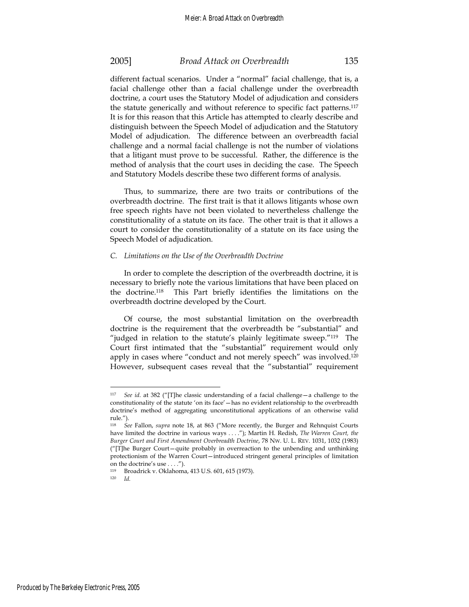different factual scenarios. Under a "normal" facial challenge, that is, a facial challenge other than a facial challenge under the overbreadth doctrine, a court uses the Statutory Model of adjudication and considers the statute generically and without reference to specific fact patterns.<sup>117</sup> It is for this reason that this Article has attempted to clearly describe and distinguish between the Speech Model of adjudication and the Statutory Model of adjudication. The difference between an overbreadth facial challenge and a normal facial challenge is not the number of violations that a litigant must prove to be successful. Rather, the difference is the method of analysis that the court uses in deciding the case. The Speech and Statutory Models describe these two different forms of analysis.

Thus, to summarize, there are two traits or contributions of the overbreadth doctrine. The first trait is that it allows litigants whose own free speech rights have not been violated to nevertheless challenge the constitutionality of a statute on its face. The other trait is that it allows a court to consider the constitutionality of a statute on its face using the Speech Model of adjudication.

### *C. Limitations on the Use of the Overbreadth Doctrine*

In order to complete the description of the overbreadth doctrine, it is necessary to briefly note the various limitations that have been placed on the doctrine.118 This Part briefly identifies the limitations on the overbreadth doctrine developed by the Court.

Of course, the most substantial limitation on the overbreadth doctrine is the requirement that the overbreadth be "substantial" and "judged in relation to the statute's plainly legitimate sweep."119 The Court first intimated that the "substantial" requirement would only apply in cases where "conduct and not merely speech" was involved.<sup>120</sup> However, subsequent cases reveal that the "substantial" requirement

<sup>117</sup> *See id*. at 382 ("[T]he classic understanding of a facial challenge—a challenge to the constitutionality of the statute 'on its face'—has no evident relationship to the overbreadth doctrine's method of aggregating unconstitutional applications of an otherwise valid rule.").

<sup>118</sup> *See* Fallon, *supra* note 18, at 863 ("More recently, the Burger and Rehnquist Courts have limited the doctrine in various ways . . . ."); Martin H. Redish, *The Warren Court, the Burger Court and First Amendment Overbreadth Doctrine*, 78 NW. U. L. REV. 1031, 1032 (1983) ("[T]he Burger Court—quite probably in overreaction to the unbending and unthinking protectionism of the Warren Court—introduced stringent general principles of limitation on the doctrine's use . . . .").

<sup>119</sup> Broadrick v. Oklahoma, 413 U.S. 601, 615 (1973).<br>
120  $I_d$ 

<sup>120</sup> *Id.*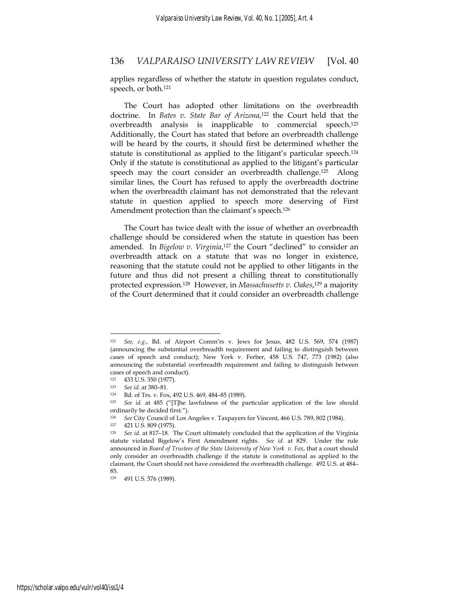applies regardless of whether the statute in question regulates conduct, speech, or both.121

The Court has adopted other limitations on the overbreadth doctrine. In *Bates v. State Bar of Arizona*, 122 the Court held that the overbreadth analysis is inapplicable to commercial speech.123 Additionally, the Court has stated that before an overbreadth challenge will be heard by the courts, it should first be determined whether the statute is constitutional as applied to the litigant's particular speech.124 Only if the statute is constitutional as applied to the litigant's particular speech may the court consider an overbreadth challenge.125 Along similar lines, the Court has refused to apply the overbreadth doctrine when the overbreadth claimant has not demonstrated that the relevant statute in question applied to speech more deserving of First Amendment protection than the claimant's speech.<sup>126</sup>

The Court has twice dealt with the issue of whether an overbreadth challenge should be considered when the statute in question has been amended. In *Bigelow v. Virginia*, 127 the Court "declined" to consider an overbreadth attack on a statute that was no longer in existence, reasoning that the statute could not be applied to other litigants in the future and thus did not present a chilling threat to constitutionally protected expression.128 However, in *Massachusetts v. Oakes*, 129 a majority of the Court determined that it could consider an overbreadth challenge

<sup>121</sup> *See, e.g.*, Bd. of Airport Comm'rs v. Jews for Jesus, 482 U.S. 569, 574 (1987) (announcing the substantial overbreadth requirement and failing to distinguish between cases of speech and conduct); New York v. Ferber, 458 U.S. 747, 773 (1982) (also announcing the substantial overbreadth requirement and failing to distinguish between cases of speech and conduct).

 $122 \t 433 \t U.S. 350 (1977).$ <br> $123 \t Cgeid 21380.81$ 

<sup>123</sup> *See id.* at 380–81.

<sup>124</sup> Bd. of Trs. v. Fox, 492 U.S. 469, 484–85 (1989).

<sup>125</sup> *See id.* at 485 ("[T]he lawfulness of the particular application of the law should ordinarily be decided first.").

<sup>126</sup> *See* City Council of Los Angeles v. Taxpayers for Vincent, 466 U.S. 789, 802 (1984). 127 421 U.S. 809 (1975).

<sup>128</sup> *See id*. at 817–18. The Court ultimately concluded that the application of the Virginia statute violated Bigelow's First Amendment rights. *See id.* at 829. Under the rule announced in *Board of Trustees of the State University of New York v. Fox*, that a court should only consider an overbreadth challenge if the statute is constitutional as applied to the claimant, the Court should not have considered the overbreadth challenge. 492 U.S. at 484– 85.

<sup>129 491</sup> U.S. 576 (1989).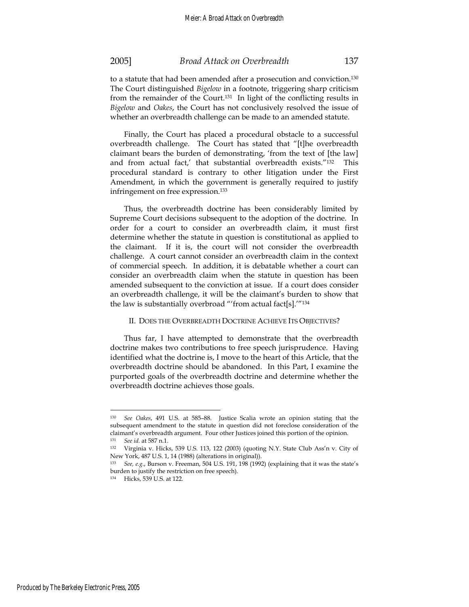Finally, the Court has placed a procedural obstacle to a successful overbreadth challenge. The Court has stated that "[t]he overbreadth claimant bears the burden of demonstrating, 'from the text of [the law] and from actual fact,' that substantial overbreadth exists."132 This procedural standard is contrary to other litigation under the First Amendment, in which the government is generally required to justify infringement on free expression.133

Thus, the overbreadth doctrine has been considerably limited by Supreme Court decisions subsequent to the adoption of the doctrine. In order for a court to consider an overbreadth claim, it must first determine whether the statute in question is constitutional as applied to the claimant. If it is, the court will not consider the overbreadth challenge. A court cannot consider an overbreadth claim in the context of commercial speech. In addition, it is debatable whether a court can consider an overbreadth claim when the statute in question has been amended subsequent to the conviction at issue. If a court does consider an overbreadth challenge, it will be the claimant's burden to show that the law is substantially overbroad "'from actual fact[s].'"134

### II. DOES THE OVERBREADTH DOCTRINE ACHIEVE ITS OBJECTIVES?

Thus far, I have attempted to demonstrate that the overbreadth doctrine makes two contributions to free speech jurisprudence. Having identified what the doctrine is, I move to the heart of this Article, that the overbreadth doctrine should be abandoned. In this Part, I examine the purported goals of the overbreadth doctrine and determine whether the overbreadth doctrine achieves those goals.

<sup>130</sup> *See Oakes*, 491 U.S. at 585–88. Justice Scalia wrote an opinion stating that the subsequent amendment to the statute in question did not foreclose consideration of the claimant's overbreadth argument. Four other Justices joined this portion of the opinion. <sup>131</sup> *See id.* at 587 n.1.

<sup>132</sup> Virginia v. Hicks, 539 U.S. 113, 122 (2003) (quoting N.Y. State Club Ass'n v. City of New York, 487 U.S. 1, 14 (1988) (alterations in original)).

<sup>133</sup> *See, e.g.*, Burson v. Freeman, 504 U.S. 191, 198 (1992) (explaining that it was the state's burden to justify the restriction on free speech).

<sup>134</sup> Hicks, 539 U.S. at 122.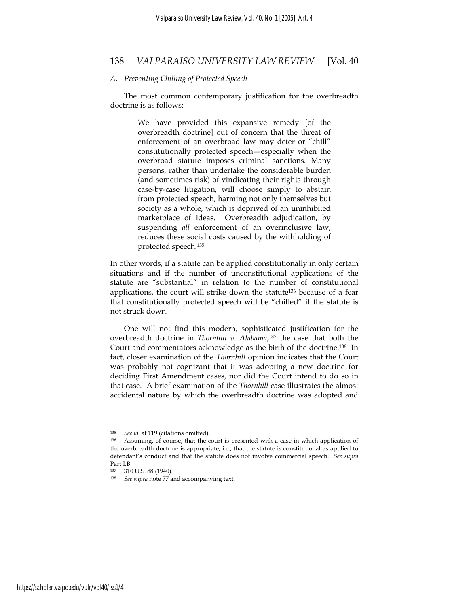#### *A. Preventing Chilling of Protected Speech*

The most common contemporary justification for the overbreadth doctrine is as follows:

> We have provided this expansive remedy [of the overbreadth doctrine] out of concern that the threat of enforcement of an overbroad law may deter or "chill" constitutionally protected speech—especially when the overbroad statute imposes criminal sanctions. Many persons, rather than undertake the considerable burden (and sometimes risk) of vindicating their rights through case-by-case litigation, will choose simply to abstain from protected speech, harming not only themselves but society as a whole, which is deprived of an uninhibited marketplace of ideas. Overbreadth adjudication, by suspending *all* enforcement of an overinclusive law, reduces these social costs caused by the withholding of protected speech.135

In other words, if a statute can be applied constitutionally in only certain situations and if the number of unconstitutional applications of the statute are "substantial" in relation to the number of constitutional applications, the court will strike down the statute136 because of a fear that constitutionally protected speech will be "chilled" if the statute is not struck down.

One will not find this modern, sophisticated justification for the overbreadth doctrine in *Thornhill v. Alabama*, 137 the case that both the Court and commentators acknowledge as the birth of the doctrine.138 In fact, closer examination of the *Thornhill* opinion indicates that the Court was probably not cognizant that it was adopting a new doctrine for deciding First Amendment cases, nor did the Court intend to do so in that case. A brief examination of the *Thornhill* case illustrates the almost accidental nature by which the overbreadth doctrine was adopted and

<sup>135</sup> *See id.* at 119 (citations omitted).

<sup>136</sup> Assuming, of course, that the court is presented with a case in which application of the overbreadth doctrine is appropriate, i.e., that the statute is constitutional as applied to defendant's conduct and that the statute does not involve commercial speech. *See supra* Part I.B.

<sup>137 310</sup> U.S. 88 (1940).

<sup>138</sup> *See supra* note 77 and accompanying text.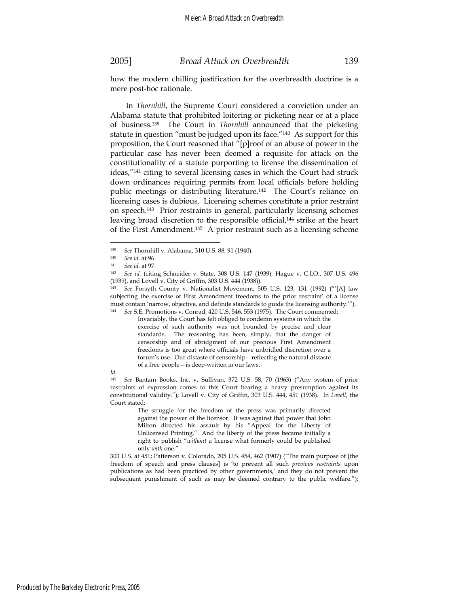how the modern chilling justification for the overbreadth doctrine is a mere post-hoc rationale.

 In *Thornhill*, the Supreme Court considered a conviction under an Alabama statute that prohibited loitering or picketing near or at a place of business.139 The Court in *Thornhill* announced that the picketing statute in question "must be judged upon its face."140 As support for this proposition, the Court reasoned that "[p]roof of an abuse of power in the particular case has never been deemed a requisite for attack on the constitutionality of a statute purporting to license the dissemination of ideas,"141 citing to several licensing cases in which the Court had struck down ordinances requiring permits from local officials before holding public meetings or distributing literature.<sup>142</sup> The Court's reliance on licensing cases is dubious. Licensing schemes constitute a prior restraint on speech.143 Prior restraints in general, particularly licensing schemes leaving broad discretion to the responsible official,<sup>144</sup> strike at the heart of the First Amendment.145 A prior restraint such as a licensing scheme

 $\overline{a}$ 

Invariably, the Court has felt obliged to condemn systems in which the exercise of such authority was not bounded by precise and clear standards. The reasoning has been, simply, that the danger of censorship and of abridgment of our precious First Amendment freedoms is too great where officials have unbridled discretion over a forum's use. Our distaste of censorship—reflecting the natural distaste of a free people—is deep-written in our laws.

#### *Id.*

<sup>145</sup> *See* Bantam Books, Inc. v. Sullivan, 372 U.S. 58, 70 (1963) ("Any system of prior restraints of expression comes to this Court bearing a heavy presumption against its constitutional validity."); Lovell v. City of Griffin, 303 U.S. 444, 451 (1938). In *Lovell*, the Court stated:

> The struggle for the freedom of the press was primarily directed against the power of the licensor. It was against that power that John Milton directed his assault by his "Appeal for the Liberty of Unlicensed Printing." And the liberty of the press became initially a right to publish "*without* a license what formerly could be published only *with* one."

303 U.S. at 451; Patterson v. Colorado, 205 U.S. 454, 462 (1907) ("The main purpose of [the freedom of speech and press clauses] is 'to prevent all such *previous restraints* upon publications as had been practiced by other governments,' and they do not prevent the subsequent punishment of such as may be deemed contrary to the public welfare.");

<sup>139</sup> *See* Thornhill v. Alabama, 310 U.S. 88, 91 (1940). 140 *See id.* at 96.

<sup>141</sup> *See id.* at 97. 142 *See id.* (citing Schneider v. State, 308 U.S. 147 (1939), Hague v. C.I.O., 307 U.S. 496 (1939), and Lovell v. City of Griffin, 303 U.S. 444 (1938)).

<sup>143</sup> *See* Forsyth County v. Nationalist Movement, 505 U.S. 123, 131 (1992) ("'[A] law subjecting the exercise of First Amendment freedoms to the prior restraint' of a license must contain 'narrow, objective, and definite standards to guide the licensing authority.'"). <sup>144</sup> *See* S.E. Promotions v. Conrad, 420 U.S. 546, 553 (1975). The Court commented: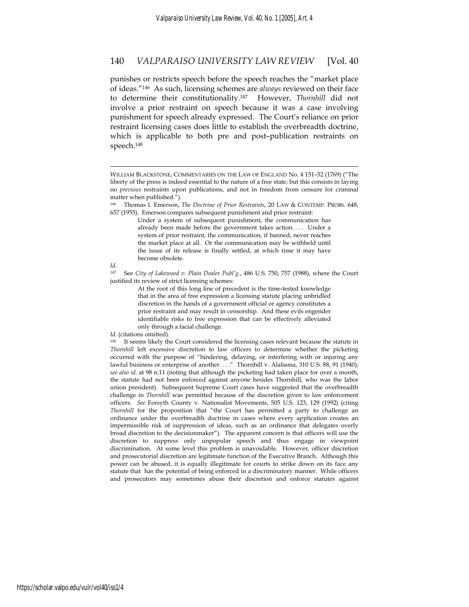punishes or restricts speech before the speech reaches the "market place of ideas."146 As such, licensing schemes are *always* reviewed on their face to determine their constitutionality.147 However, *Thornhill* did not involve a prior restraint on speech because it was a case involving punishment for speech already expressed. The Court's reliance on prior restraint licensing cases does little to establish the overbreadth doctrine, which is applicable to both pre and post–publication restraints on speech.148

Under a system of subsequent punishment, the communication has already been made before the government takes action.... Under a system of prior restraint, the communication, if banned, never reaches the market place at all. Or the communication may be withheld until the issue of its release is finally settled, at which time it may have become obsolete.

 $\overline{a}$ 

147 See *City of Lakewood v. Plain Dealer Publ'g.*, 486 U.S. 750, 757 (1988), where the Court justified its review of strict licensing schemes:

> At the root of this long line of precedent is the time-tested knowledge that in the area of free expression a licensing statute placing unbridled discretion in the hands of a government official or agency constitutes a prior restraint and may result in censorship. And these evils engender identifiable risks to free expression that can be effectively alleviated only through a facial challenge.

WILLIAM BLACKSTONE, COMMENTARIES ON THE LAW OF ENGLAND No. 4 151–52 (1769) ("The liberty of the press is indeed essential to the nature of a free state; but this consists in laying no *previous* restraints upon publications, and not in freedom from censure for criminal matter when published.").

<sup>146</sup> Thomas I. Emerson, *The Doctrine of Prior Restraints*, 20 LAW & CONTEMP. PROBS. 648, 657 (1955). Emerson compares subsequent punishment and prior restraint:

*Id.*

*Id.* (citations omitted).

It seems likely the Court considered the licensing cases relevant because the statute in *Thornhill* left excessive discretion to law officers to determine whether the picketing occurred with the purpose of "hindering, delaying, or interfering with or injuring any lawful business or enterprise of another. . . ." Thornhill v. Alabama, 310 U.S. 88, 91 (1940); *see also id.* at 98 n.11 (noting that although the picketing had taken place for over a month, the statute had not been enforced against anyone besides Thornhill, who was the labor union president). Subsequent Supreme Court cases have suggested that the overbreadth challenge in *Thornhill* was permitted because of the discretion given to law enforcement officers. *See* Forsyth County v. Nationalist Movements, 505 U.S. 123, 129 (1992) (citing *Thornhill* for the proposition that "the Court has permitted a party to challenge an ordinance under the overbreadth doctrine in cases where every application creates an impermissible risk of suppression of ideas, such as an ordinance that delegates overly broad discretion to the decisionmaker"). The apparent concern is that officers will use the discretion to suppress only unpopular speech and thus engage in viewpoint discrimination. At some level this problem is unavoidable. However, officer discretion and prosecutorial discretion are legitimate function of the Executive Branch. Although this power can be abused, it is equally illegitimate for courts to strike down on its face any statute that has the potential of being enforced in a discriminatory manner. While officers and prosecutors may sometimes abuse their discretion and enforce statutes against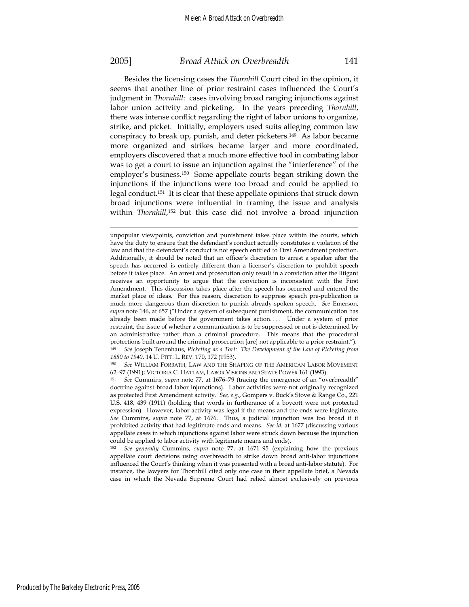$\overline{a}$ 

### 2005] *Broad Attack on Overbreadth* 141

Besides the licensing cases the *Thornhill* Court cited in the opinion, it seems that another line of prior restraint cases influenced the Court's judgment in *Thornhill*: cases involving broad ranging injunctions against labor union activity and picketing. In the years preceding *Thornhill*, there was intense conflict regarding the right of labor unions to organize, strike, and picket. Initially, employers used suits alleging common law conspiracy to break up, punish, and deter picketers.149 As labor became more organized and strikes became larger and more coordinated, employers discovered that a much more effective tool in combating labor was to get a court to issue an injunction against the "interference" of the employer's business.150 Some appellate courts began striking down the injunctions if the injunctions were too broad and could be applied to legal conduct.151 It is clear that these appellate opinions that struck down broad injunctions were influential in framing the issue and analysis within *Thornhill*, 152 but this case did not involve a broad injunction

<sup>152</sup> *See generally* Cummins, *supra* note 77, at 1671–95 (explaining how the previous appellate court decisions using overbreadth to strike down broad anti-labor injunctions influenced the Court's thinking when it was presented with a broad anti-labor statute). For instance, the lawyers for Thornhill cited only one case in their appellate brief, a Nevada case in which the Nevada Supreme Court had relied almost exclusively on previous

unpopular viewpoints, conviction and punishment takes place within the courts, which have the duty to ensure that the defendant's conduct actually constitutes a violation of the law and that the defendant's conduct is not speech entitled to First Amendment protection. Additionally, it should be noted that an officer's discretion to arrest a speaker after the speech has occurred is entirely different than a licensor's discretion to prohibit speech before it takes place. An arrest and prosecution only result in a conviction after the litigant receives an opportunity to argue that the conviction is inconsistent with the First Amendment. This discussion takes place after the speech has occurred and entered the market place of ideas. For this reason, discretion to suppress speech pre-publication is much more dangerous than discretion to punish already-spoken speech. *See* Emerson, *supra* note 146, at 657 ("Under a system of subsequent punishment, the communication has already been made before the government takes action.... Under a system of prior restraint, the issue of whether a communication is to be suppressed or not is determined by an administrative rather than a criminal procedure. This means that the procedural protections built around the criminal prosecution [are] not applicable to a prior restraint."). <sup>149</sup> *See* Joseph Tenenhaus, *Picketing as a Tort: The Development of the Law of Picketing from 1880 to 1940*, 14 U. PITT. L. REV. 170, 172 (1953).

<sup>150</sup> *See* WILLIAM FORBATH, LAW AND THE SHAPING OF THE AMERICAN LABOR MOVEMENT 62–97 (1991); VICTORIA C. HATTAM, LABOR VISIONS AND STATE POWER 161 (1993). 151 *See* Cummins, *supra* note 77, at 1676–79 (tracing the emergence of an "overbreadth"

doctrine against broad labor injunctions). Labor activities were not originally recognized as protected First Amendment activity. *See, e.g.*, Gompers v. Buck's Stove & Range Co., 221 U.S. 418, 439 (1911) (holding that words in furtherance of a boycott were not protected expression). However, labor activity was legal if the means and the ends were legitimate. *See* Cummins, *supra* note 77, at 1676. Thus, a judicial injunction was too broad if it prohibited activity that had legitimate ends and means. *See id.* at 1677 (discussing various appellate cases in which injunctions against labor were struck down because the injunction could be applied to labor activity with legitimate means and ends).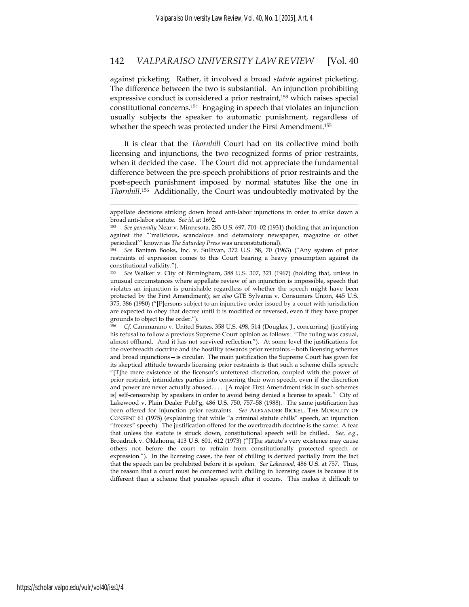against picketing. Rather, it involved a broad *statute* against picketing. The difference between the two is substantial. An injunction prohibiting expressive conduct is considered a prior restraint,<sup>153</sup> which raises special constitutional concerns.154 Engaging in speech that violates an injunction usually subjects the speaker to automatic punishment, regardless of whether the speech was protected under the First Amendment.<sup>155</sup>

It is clear that the *Thornhill* Court had on its collective mind both licensing and injunctions, the two recognized forms of prior restraints, when it decided the case. The Court did not appreciate the fundamental difference between the pre-speech prohibitions of prior restraints and the post-speech punishment imposed by normal statutes like the one in *Thornhill*.156 Additionally, the Court was undoubtedly motivated by the

<sup>156</sup> *Cf.* Cammarano v. United States, 358 U.S. 498, 514 (Douglas, J., concurring) (justifying his refusal to follow a previous Supreme Court opinion as follows: "The ruling was casual, almost offhand. And it has not survived reflection."). At some level the justifications for the overbreadth doctrine and the hostility towards prior restraints—both licensing schemes and broad injunctions—is circular. The main justification the Supreme Court has given for its skeptical attitude towards licensing prior restraints is that such a scheme chills speech: "[T]he mere existence of the licensor's unfettered discretion, coupled with the power of prior restraint, intimidates parties into censoring their own speech, even if the discretion and power are never actually abused. . . . [A major First Amendment risk in such schemes is] self-censorship by speakers in order to avoid being denied a license to speak." City of Lakewood v. Plain Dealer Publ'g, 486 U.S. 750, 757–58 (1988). The same justification has been offered for injunction prior restraints. *See* ALEXANDER BICKEL, THE MORALITY OF CONSENT 61 (1975) (explaining that while "a criminal statute chills" speech, an injunction "freezes" speech). The justification offered for the overbreadth doctrine is the same: A fear that unless the statute is struck down, constitutional speech will be chilled. *See, e.g.*, Broadrick v. Oklahoma, 413 U.S. 601, 612 (1973) ("[T]he statute's very existence may cause others not before the court to refrain from constitutionally protected speech or expression."). In the licensing cases, the fear of chilling is derived partially from the fact that the speech can be prohibited before it is spoken. *See Lakewood*, 486 U.S. at 757. Thus, the reason that a court must be concerned with chilling in licensing cases is because it is different than a scheme that punishes speech after it occurs. This makes it difficult to

appellate decisions striking down broad anti-labor injunctions in order to strike down a broad anti-labor statute. *See id.* at 1692.

<sup>153</sup> *See generally* Near v. Minnesota, 283 U.S. 697, 701–02 (1931) (holding that an injunction against the "'malicious, scandalous and defamatory newspaper, magazine or other periodical'" known as *The Saturday Press* was unconstitutional).

<sup>154</sup> *See* Bantam Books, Inc. v. Sullivan, 372 U.S. 58, 70 (1963) ("Any system of prior restraints of expression comes to this Court bearing a heavy presumption against its constitutional validity.").

<sup>155</sup> *See* Walker v. City of Birmingham, 388 U.S. 307, 321 (1967) (holding that, unless in unusual circumstances where appellate review of an injunction is impossible, speech that violates an injunction is punishable regardless of whether the speech might have been protected by the First Amendment); *see also* GTE Sylvania v. Consumers Union, 445 U.S. 375, 386 (1980) ("[P]ersons subject to an injunctive order issued by a court with jurisdiction are expected to obey that decree until it is modified or reversed, even if they have proper grounds to object to the order.").<br><sup>156</sup> Cf Cammarano y United S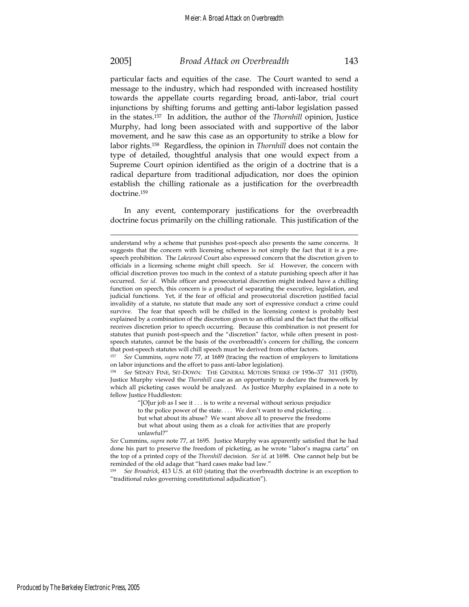$\overline{a}$ 

### 2005] *Broad Attack on Overbreadth* 143

particular facts and equities of the case. The Court wanted to send a message to the industry, which had responded with increased hostility towards the appellate courts regarding broad, anti-labor, trial court injunctions by shifting forums and getting anti-labor legislation passed in the states.157 In addition, the author of the *Thornhill* opinion, Justice Murphy, had long been associated with and supportive of the labor movement, and he saw this case as an opportunity to strike a blow for labor rights.158 Regardless, the opinion in *Thornhill* does not contain the type of detailed, thoughtful analysis that one would expect from a Supreme Court opinion identified as the origin of a doctrine that is a radical departure from traditional adjudication, nor does the opinion establish the chilling rationale as a justification for the overbreadth doctrine.159

In any event, contemporary justifications for the overbreadth doctrine focus primarily on the chilling rationale. This justification of the

on labor injunctions and the effort to pass anti-labor legislation).

<sup>158</sup> *See* SIDNEY FINE, SIT-DOWN: THE GENERAL MOTORS STRIKE OF 1936–37 311 (1970). Justice Murphy viewed the *Thornhill* case as an opportunity to declare the framework by which all picketing cases would be analyzed. As Justice Murphy explained in a note to fellow Justice Huddleston:

> "[O]ur job as I see it . . . is to write a reversal without serious prejudice to the police power of the state. . . . We don't want to end picketing . . . but what about its abuse? We want above all to preserve the freedoms but what about using them as a cloak for activities that are properly unlawful?"

<sup>159</sup> *See Broadrick*, 413 U.S. at 610 (stating that the overbreadth doctrine is an exception to "traditional rules governing constitutional adjudication").

understand why a scheme that punishes post-speech also presents the same concerns. It suggests that the concern with licensing schemes is not simply the fact that it is a prespeech prohibition. The *Lakewood* Court also expressed concern that the discretion given to officials in a licensing scheme might chill speech. *See id.* However, the concern with official discretion proves too much in the context of a statute punishing speech after it has occurred. *See id*. While officer and prosecutorial discretion might indeed have a chilling function on speech, this concern is a product of separating the executive, legislation, and judicial functions. Yet, if the fear of official and prosecutorial discretion justified facial invalidity of a statute, no statute that made any sort of expressive conduct a crime could survive. The fear that speech will be chilled in the licensing context is probably best explained by a combination of the discretion given to an official and the fact that the official receives discretion prior to speech occurring. Because this combination is not present for statutes that punish post-speech and the "discretion" factor, while often present in postspeech statutes, cannot be the basis of the overbreadth's concern for chilling, the concern that post-speech statutes will chill speech must be derived from other factors. 157 *See* Cummins, *supra* note 77, at 1689 (tracing the reaction of employers to limitations

*See* Cummins, *supra* note 77, at 1695. Justice Murphy was apparently satisfied that he had done his part to preserve the freedom of picketing, as he wrote "labor's magna carta" on the top of a printed copy of the *Thornhill* decision. *See id.* at 1698. One cannot help but be reminded of the old adage that "hard cases make bad law."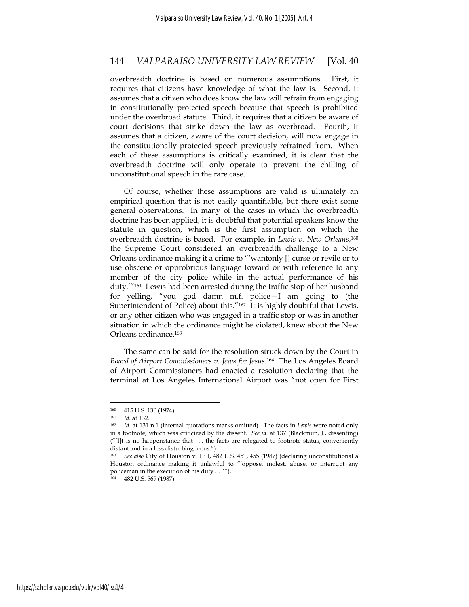overbreadth doctrine is based on numerous assumptions. First, it requires that citizens have knowledge of what the law is. Second, it assumes that a citizen who does know the law will refrain from engaging in constitutionally protected speech because that speech is prohibited under the overbroad statute. Third, it requires that a citizen be aware of court decisions that strike down the law as overbroad. Fourth, it assumes that a citizen, aware of the court decision, will now engage in the constitutionally protected speech previously refrained from. When each of these assumptions is critically examined, it is clear that the overbreadth doctrine will only operate to prevent the chilling of unconstitutional speech in the rare case.

Of course, whether these assumptions are valid is ultimately an empirical question that is not easily quantifiable, but there exist some general observations. In many of the cases in which the overbreadth doctrine has been applied, it is doubtful that potential speakers know the statute in question, which is the first assumption on which the overbreadth doctrine is based. For example, in *Lewis v. New Orleans*,160 the Supreme Court considered an overbreadth challenge to a New Orleans ordinance making it a crime to "'wantonly [] curse or revile or to use obscene or opprobrious language toward or with reference to any member of the city police while in the actual performance of his duty.'"161 Lewis had been arrested during the traffic stop of her husband for yelling, "you god damn m.f. police—I am going to (the Superintendent of Police) about this."<sup>162</sup> It is highly doubtful that Lewis, or any other citizen who was engaged in a traffic stop or was in another situation in which the ordinance might be violated, knew about the New Orleans ordinance.163

The same can be said for the resolution struck down by the Court in *Board of Airport Commissioners v. Jews for Jesus.*164 The Los Angeles Board of Airport Commissioners had enacted a resolution declaring that the terminal at Los Angeles International Airport was "not open for First

 $\overline{a}$ 

164 482 U.S. 569 (1987).

 $160$  415 U.S. 130 (1974).<br>  $161$   $1d$  at 132

<sup>161</sup> *Id.* at 132. 162 *Id*. at 131 n.1 (internal quotations marks omitted). The facts in *Lewis* were noted only in a footnote, which was criticized by the dissent. *See id.* at 137 (Blackmun, J., dissenting)  $''[I]$ t is no happenstance that  $\dots$  the facts are relegated to footnote status, conveniently distant and in a less disturbing focus.").

<sup>163</sup> *See also* City of Houston v. Hill, 482 U.S. 451, 455 (1987) (declaring unconstitutional a Houston ordinance making it unlawful to "'oppose, molest, abuse, or interrupt any policeman in the execution of his duty . . .'").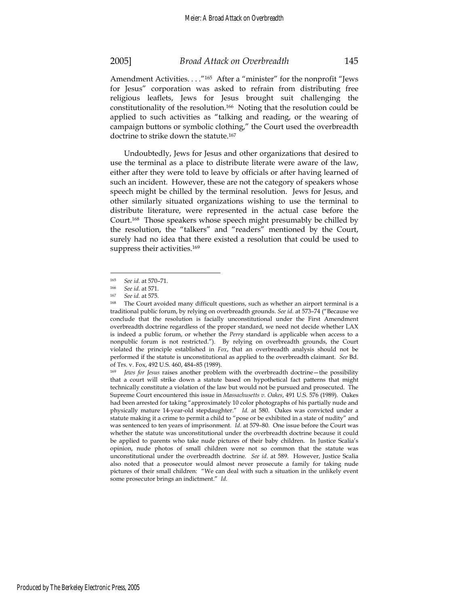Amendment Activities. . . . "<sup>165</sup> After a "minister" for the nonprofit "Jews for Jesus" corporation was asked to refrain from distributing free religious leaflets, Jews for Jesus brought suit challenging the constitutionality of the resolution.166 Noting that the resolution could be applied to such activities as "talking and reading, or the wearing of campaign buttons or symbolic clothing," the Court used the overbreadth doctrine to strike down the statute.167

Undoubtedly, Jews for Jesus and other organizations that desired to use the terminal as a place to distribute literate were aware of the law, either after they were told to leave by officials or after having learned of such an incident. However, these are not the category of speakers whose speech might be chilled by the terminal resolution. Jews for Jesus, and other similarly situated organizations wishing to use the terminal to distribute literature, were represented in the actual case before the Court.168 Those speakers whose speech might presumably be chilled by the resolution, the "talkers" and "readers" mentioned by the Court, surely had no idea that there existed a resolution that could be used to suppress their activities.<sup>169</sup>

<sup>165</sup> *See id.* at 570–71. 166 *See id.* at 571.

<sup>&</sup>lt;sup>167</sup> See id. at 575.<br><sup>168</sup> The Court avoided many difficult questions, such as whether an airport terminal is a traditional public forum, by relying on overbreadth grounds. *See id.* at 573–74 ("Because we conclude that the resolution is facially unconstitutional under the First Amendment overbreadth doctrine regardless of the proper standard, we need not decide whether LAX is indeed a public forum, or whether the *Perry* standard is applicable when access to a nonpublic forum is not restricted."). By relying on overbreadth grounds, the Court violated the principle established in *Fox*, that an overbreadth analysis should not be performed if the statute is unconstitutional as applied to the overbreadth claimant. *See* Bd. of Trs. v. Fox, 492 U.S. 460, 484–85 (1989).

<sup>169</sup> *Jews for Jesus* raises another problem with the overbreadth doctrine—the possibility that a court will strike down a statute based on hypothetical fact patterns that might technically constitute a violation of the law but would not be pursued and prosecuted. The Supreme Court encountered this issue in *Massachusetts v. Oakes*, 491 U.S. 576 (1989). Oakes had been arrested for taking "approximately 10 color photographs of his partially nude and physically mature 14-year-old stepdaughter." *Id.* at 580. Oakes was convicted under a statute making it a crime to permit a child to "pose or be exhibited in a state of nudity" and was sentenced to ten years of imprisonment. *Id*. at 579–80. One issue before the Court was whether the statute was unconstitutional under the overbreadth doctrine because it could be applied to parents who take nude pictures of their baby children. In Justice Scalia's opinion, nude photos of small children were not so common that the statute was unconstitutional under the overbreadth doctrine. *See id*. at 589. However, Justice Scalia also noted that a prosecutor would almost never prosecute a family for taking nude pictures of their small children: "We can deal with such a situation in the unlikely event some prosecutor brings an indictment." *Id.*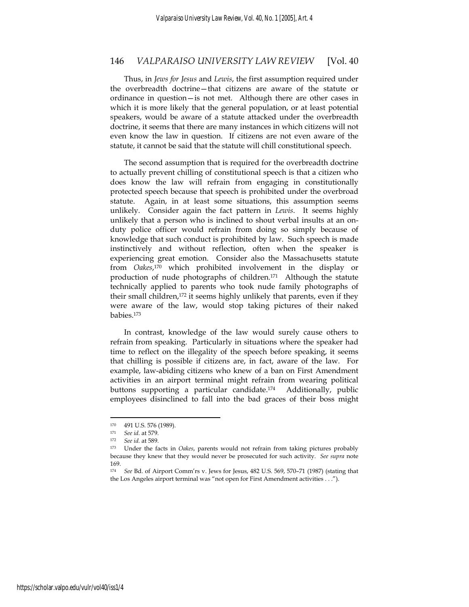Thus, in *Jews for Jesus* and *Lewis*, the first assumption required under the overbreadth doctrine—that citizens are aware of the statute or ordinance in question—is not met. Although there are other cases in which it is more likely that the general population, or at least potential speakers, would be aware of a statute attacked under the overbreadth doctrine, it seems that there are many instances in which citizens will not even know the law in question. If citizens are not even aware of the statute, it cannot be said that the statute will chill constitutional speech.

The second assumption that is required for the overbreadth doctrine to actually prevent chilling of constitutional speech is that a citizen who does know the law will refrain from engaging in constitutionally protected speech because that speech is prohibited under the overbroad statute. Again, in at least some situations, this assumption seems unlikely. Consider again the fact pattern in *Lewis*. It seems highly unlikely that a person who is inclined to shout verbal insults at an onduty police officer would refrain from doing so simply because of knowledge that such conduct is prohibited by law. Such speech is made instinctively and without reflection, often when the speaker is experiencing great emotion. Consider also the Massachusetts statute from *Oakes*, 170 which prohibited involvement in the display or production of nude photographs of children.171 Although the statute technically applied to parents who took nude family photographs of their small children,<sup>172</sup> it seems highly unlikely that parents, even if they were aware of the law, would stop taking pictures of their naked babies.173

In contrast, knowledge of the law would surely cause others to refrain from speaking. Particularly in situations where the speaker had time to reflect on the illegality of the speech before speaking, it seems that chilling is possible if citizens are, in fact, aware of the law. For example, law-abiding citizens who knew of a ban on First Amendment activities in an airport terminal might refrain from wearing political buttons supporting a particular candidate.174 Additionally, public employees disinclined to fall into the bad graces of their boss might

<sup>170 491</sup> U.S. 576 (1989).

<sup>171</sup> *See id.* at 579.

<sup>172</sup> *See id.* at 589.

<sup>173</sup> Under the facts in *Oakes*, parents would not refrain from taking pictures probably because they knew that they would never be prosecuted for such activity. *See supra* note 169.

<sup>174</sup> *See* Bd. of Airport Comm'rs v. Jews for Jesus, 482 U.S. 569, 570–71 (1987) (stating that the Los Angeles airport terminal was "not open for First Amendment activities . . .").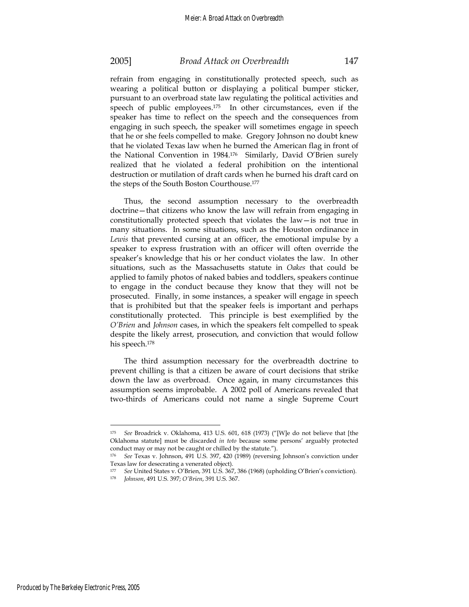refrain from engaging in constitutionally protected speech, such as wearing a political button or displaying a political bumper sticker, pursuant to an overbroad state law regulating the political activities and speech of public employees.175 In other circumstances, even if the speaker has time to reflect on the speech and the consequences from engaging in such speech, the speaker will sometimes engage in speech that he or she feels compelled to make. Gregory Johnson no doubt knew that he violated Texas law when he burned the American flag in front of the National Convention in 1984.176 Similarly, David O'Brien surely realized that he violated a federal prohibition on the intentional destruction or mutilation of draft cards when he burned his draft card on the steps of the South Boston Courthouse.177

Thus, the second assumption necessary to the overbreadth doctrine—that citizens who know the law will refrain from engaging in constitutionally protected speech that violates the law—is not true in many situations. In some situations, such as the Houston ordinance in *Lewis* that prevented cursing at an officer, the emotional impulse by a speaker to express frustration with an officer will often override the speaker's knowledge that his or her conduct violates the law. In other situations, such as the Massachusetts statute in *Oakes* that could be applied to family photos of naked babies and toddlers, speakers continue to engage in the conduct because they know that they will not be prosecuted. Finally, in some instances, a speaker will engage in speech that is prohibited but that the speaker feels is important and perhaps constitutionally protected. This principle is best exemplified by the *O'Brien* and *Johnson* cases, in which the speakers felt compelled to speak despite the likely arrest, prosecution, and conviction that would follow his speech.178

The third assumption necessary for the overbreadth doctrine to prevent chilling is that a citizen be aware of court decisions that strike down the law as overbroad. Once again, in many circumstances this assumption seems improbable. A 2002 poll of Americans revealed that two-thirds of Americans could not name a single Supreme Court

Produced by The Berkeley Electronic Press, 2005

<sup>175</sup> *See* Broadrick v. Oklahoma, 413 U.S. 601, 618 (1973) ("[W]e do not believe that [the Oklahoma statute] must be discarded *in toto* because some persons' arguably protected conduct may or may not be caught or chilled by the statute.").

<sup>176</sup> *See* Texas v. Johnson, 491 U.S. 397, 420 (1989) (reversing Johnson's conviction under Texas law for desecrating a venerated object).

<sup>177</sup> *See* United States v. O'Brien, 391 U.S. 367, 386 (1968) (upholding O'Brien's conviction). 178 *Johnson*, 491 U.S. 397; *O'Brien*, 391 U.S. 367.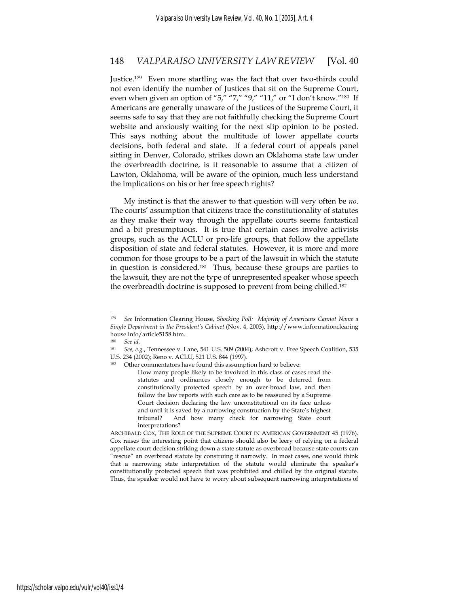Justice.179 Even more startling was the fact that over two-thirds could not even identify the number of Justices that sit on the Supreme Court, even when given an option of "5," "7," "9," "11," or "I don't know."180 If Americans are generally unaware of the Justices of the Supreme Court, it seems safe to say that they are not faithfully checking the Supreme Court website and anxiously waiting for the next slip opinion to be posted. This says nothing about the multitude of lower appellate courts decisions, both federal and state. If a federal court of appeals panel sitting in Denver, Colorado, strikes down an Oklahoma state law under the overbreadth doctrine, is it reasonable to assume that a citizen of Lawton, Oklahoma, will be aware of the opinion, much less understand the implications on his or her free speech rights?

My instinct is that the answer to that question will very often be *no*. The courts' assumption that citizens trace the constitutionality of statutes as they make their way through the appellate courts seems fantastical and a bit presumptuous. It is true that certain cases involve activists groups, such as the ACLU or pro-life groups, that follow the appellate disposition of state and federal statutes. However, it is more and more common for those groups to be a part of the lawsuit in which the statute in question is considered.181 Thus, because these groups are parties to the lawsuit, they are not the type of unrepresented speaker whose speech the overbreadth doctrine is supposed to prevent from being chilled.182

<sup>179</sup> *See* Information Clearing House, *Shocking Poll: Majority of Americans Cannot Name a Single Department in the President's Cabinet* (Nov. 4, 2003), http://www.informationclearing house.info/article5158.htm.

<sup>180</sup> *See id.*

<sup>181</sup> *See, e.g.*, Tennessee v. Lane, 541 U.S. 509 (2004); Ashcroft v. Free Speech Coalition, 535

U.S. 234 (2002); Reno v. ACLU, 521 U.S. 844 (1997).

<sup>182</sup> Other commentators have found this assumption hard to believe: How many people likely to be involved in this class of cases read the statutes and ordinances closely enough to be deterred from constitutionally protected speech by an over-broad law, and then follow the law reports with such care as to be reassured by a Supreme Court decision declaring the law unconstitutional on its face unless and until it is saved by a narrowing construction by the State's highest tribunal? And how many check for narrowing State court interpretations?

ARCHIBALD COX, THE ROLE OF THE SUPREME COURT IN AMERICAN GOVERNMENT 45 (1976). Cox raises the interesting point that citizens should also be leery of relying on a federal appellate court decision striking down a state statute as overbroad because state courts can "rescue" an overbroad statute by construing it narrowly. In most cases, one would think that a narrowing state interpretation of the statute would eliminate the speaker's constitutionally protected speech that was prohibited and chilled by the original statute. Thus, the speaker would not have to worry about subsequent narrowing interpretations of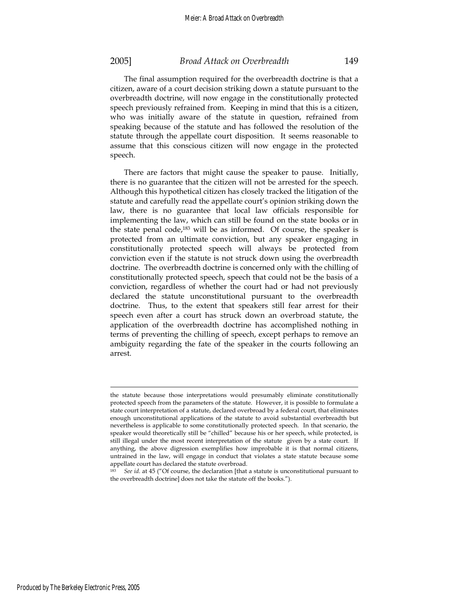citizen, aware of a court decision striking down a statute pursuant to the overbreadth doctrine, will now engage in the constitutionally protected speech previously refrained from. Keeping in mind that this is a citizen, who was initially aware of the statute in question, refrained from speaking because of the statute and has followed the resolution of the statute through the appellate court disposition. It seems reasonable to assume that this conscious citizen will now engage in the protected speech.

There are factors that might cause the speaker to pause. Initially, there is no guarantee that the citizen will not be arrested for the speech. Although this hypothetical citizen has closely tracked the litigation of the statute and carefully read the appellate court's opinion striking down the law, there is no guarantee that local law officials responsible for implementing the law, which can still be found on the state books or in the state penal code,183 will be as informed. Of course, the speaker is protected from an ultimate conviction, but any speaker engaging in constitutionally protected speech will always be protected from conviction even if the statute is not struck down using the overbreadth doctrine. The overbreadth doctrine is concerned only with the chilling of constitutionally protected speech, speech that could not be the basis of a conviction, regardless of whether the court had or had not previously declared the statute unconstitutional pursuant to the overbreadth doctrine. Thus, to the extent that speakers still fear arrest for their speech even after a court has struck down an overbroad statute, the application of the overbreadth doctrine has accomplished nothing in terms of preventing the chilling of speech, except perhaps to remove an ambiguity regarding the fate of the speaker in the courts following an arrest.

Produced by The Berkeley Electronic Press, 2005

the statute because those interpretations would presumably eliminate constitutionally protected speech from the parameters of the statute. However, it is possible to formulate a state court interpretation of a statute, declared overbroad by a federal court, that eliminates enough unconstitutional applications of the statute to avoid substantial overbreadth but nevertheless is applicable to some constitutionally protected speech. In that scenario, the speaker would theoretically still be "chilled" because his or her speech, while protected, is still illegal under the most recent interpretation of the statute given by a state court. If anything, the above digression exemplifies how improbable it is that normal citizens, untrained in the law, will engage in conduct that violates a state statute because some appellate court has declared the statute overbroad.

<sup>183</sup> *See id*. at 45 ("Of course, the declaration [that a statute is unconstitutional pursuant to the overbreadth doctrine] does not take the statute off the books.").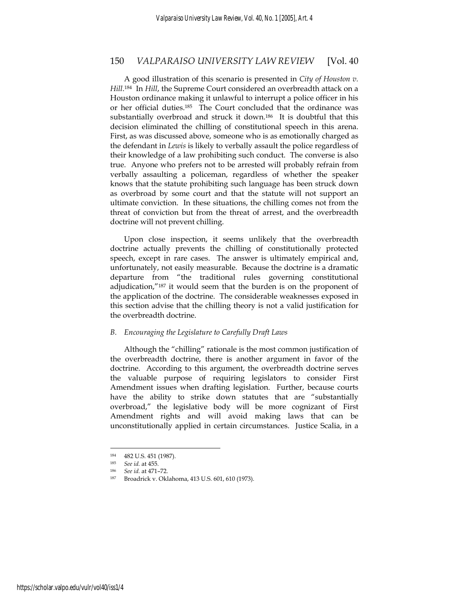A good illustration of this scenario is presented in *City of Houston v. Hill*. 184 In *Hill*, the Supreme Court considered an overbreadth attack on a Houston ordinance making it unlawful to interrupt a police officer in his or her official duties.185 The Court concluded that the ordinance was substantially overbroad and struck it down.186 It is doubtful that this decision eliminated the chilling of constitutional speech in this arena. First, as was discussed above, someone who is as emotionally charged as the defendant in *Lewis* is likely to verbally assault the police regardless of their knowledge of a law prohibiting such conduct. The converse is also true. Anyone who prefers not to be arrested will probably refrain from verbally assaulting a policeman, regardless of whether the speaker knows that the statute prohibiting such language has been struck down as overbroad by some court and that the statute will not support an ultimate conviction. In these situations, the chilling comes not from the threat of conviction but from the threat of arrest, and the overbreadth doctrine will not prevent chilling.

Upon close inspection, it seems unlikely that the overbreadth doctrine actually prevents the chilling of constitutionally protected speech, except in rare cases. The answer is ultimately empirical and, unfortunately, not easily measurable. Because the doctrine is a dramatic departure from "the traditional rules governing constitutional adjudication,"187 it would seem that the burden is on the proponent of the application of the doctrine. The considerable weaknesses exposed in this section advise that the chilling theory is not a valid justification for the overbreadth doctrine.

### *B. Encouraging the Legislature to Carefully Draft Laws*

Although the "chilling" rationale is the most common justification of the overbreadth doctrine, there is another argument in favor of the doctrine. According to this argument, the overbreadth doctrine serves the valuable purpose of requiring legislators to consider First Amendment issues when drafting legislation. Further, because courts have the ability to strike down statutes that are "substantially overbroad," the legislative body will be more cognizant of First Amendment rights and will avoid making laws that can be unconstitutionally applied in certain circumstances. Justice Scalia, in a

<sup>184 482</sup> U.S. 451 (1987).

<sup>185</sup> *See id.* at 455.

<sup>&</sup>lt;sup>186</sup> See id. at 471–72.<br><sup>187</sup> Broadrick v. Oklahoma, 413 U.S. 601, 610 (1973).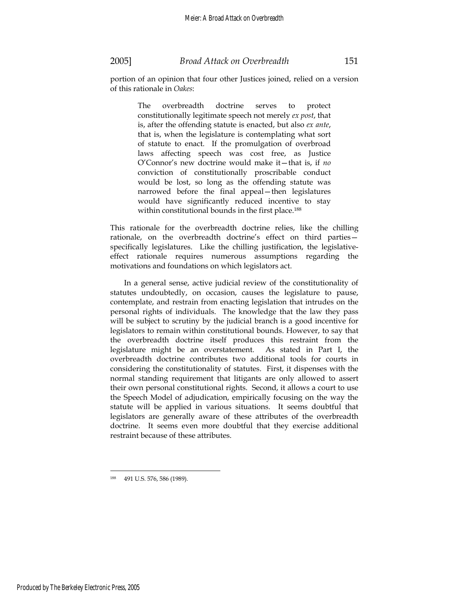portion of an opinion that four other Justices joined, relied on a version of this rationale in *Oakes*:

> The overbreadth doctrine serves to protect constitutionally legitimate speech not merely *ex post*, that is, after the offending statute is enacted, but also *ex ante*, that is, when the legislature is contemplating what sort of statute to enact. If the promulgation of overbroad laws affecting speech was cost free, as Justice O'Connor's new doctrine would make it—that is, if *no* conviction of constitutionally proscribable conduct would be lost, so long as the offending statute was narrowed before the final appeal—then legislatures would have significantly reduced incentive to stay within constitutional bounds in the first place.<sup>188</sup>

This rationale for the overbreadth doctrine relies, like the chilling rationale, on the overbreadth doctrine's effect on third parties specifically legislatures. Like the chilling justification, the legislativeeffect rationale requires numerous assumptions regarding the motivations and foundations on which legislators act.

In a general sense, active judicial review of the constitutionality of statutes undoubtedly, on occasion, causes the legislature to pause, contemplate, and restrain from enacting legislation that intrudes on the personal rights of individuals. The knowledge that the law they pass will be subject to scrutiny by the judicial branch is a good incentive for legislators to remain within constitutional bounds. However, to say that the overbreadth doctrine itself produces this restraint from the legislature might be an overstatement. As stated in Part I, the overbreadth doctrine contributes two additional tools for courts in considering the constitutionality of statutes. First, it dispenses with the normal standing requirement that litigants are only allowed to assert their own personal constitutional rights. Second, it allows a court to use the Speech Model of adjudication, empirically focusing on the way the statute will be applied in various situations. It seems doubtful that legislators are generally aware of these attributes of the overbreadth doctrine. It seems even more doubtful that they exercise additional restraint because of these attributes.

<sup>188 491</sup> U.S. 576, 586 (1989).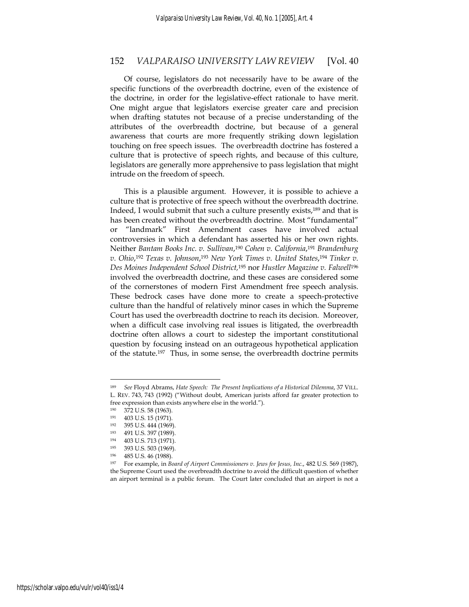Of course, legislators do not necessarily have to be aware of the specific functions of the overbreadth doctrine, even of the existence of the doctrine, in order for the legislative-effect rationale to have merit. One might argue that legislators exercise greater care and precision when drafting statutes not because of a precise understanding of the attributes of the overbreadth doctrine, but because of a general awareness that courts are more frequently striking down legislation touching on free speech issues. The overbreadth doctrine has fostered a culture that is protective of speech rights, and because of this culture, legislators are generally more apprehensive to pass legislation that might intrude on the freedom of speech.

This is a plausible argument. However, it is possible to achieve a culture that is protective of free speech without the overbreadth doctrine. Indeed, I would submit that such a culture presently exists,189 and that is has been created without the overbreadth doctrine. Most "fundamental" or "landmark" First Amendment cases have involved actual controversies in which a defendant has asserted his or her own rights. Neither *Bantam Books Inc. v. Sullivan*, <sup>190</sup> *Cohen v. California*,191 *Brandenburg v. Ohio*, <sup>192</sup> *Texas v. Johnson*, <sup>193</sup> *New York Times v. United States*, <sup>194</sup> *Tinker v. Des Moines Independent School District,*195 nor *Hustler Magazine v. Falwell*<sup>196</sup> involved the overbreadth doctrine, and these cases are considered some of the cornerstones of modern First Amendment free speech analysis. These bedrock cases have done more to create a speech-protective culture than the handful of relatively minor cases in which the Supreme Court has used the overbreadth doctrine to reach its decision. Moreover, when a difficult case involving real issues is litigated, the overbreadth doctrine often allows a court to sidestep the important constitutional question by focusing instead on an outrageous hypothetical application of the statute.197 Thus, in some sense, the overbreadth doctrine permits

<sup>189</sup> *See* Floyd Abrams, *Hate Speech: The Present Implications of a Historical Dilemma*, 37 VILL. L. REV. 743, 743 (1992) ("Without doubt, American jurists afford far greater protection to free expression than exists anywhere else in the world.").

 $\frac{190}{191}$  372 U.S. 58 (1963).

 $191 \t 403 \t U.S. 15 (1971).$ <br> $192 \t 395 \t I.S. 444 (1969)$ 

<sup>395</sup> U.S. 444 (1969).

<sup>193 491</sup> U.S. 397 (1989).

 $194$  403 U.S. 713 (1971).

<sup>195 393</sup> U.S. 503 (1969).<br>196 485 U.S. 46 (1988).

<sup>196 485</sup> U.S. 46 (1988).

<sup>197</sup> For example, in *Board of Airport Commissioners v. Jews for Jesus, Inc.*, 482 U.S. 569 (1987), the Supreme Court used the overbreadth doctrine to avoid the difficult question of whether an airport terminal is a public forum. The Court later concluded that an airport is not a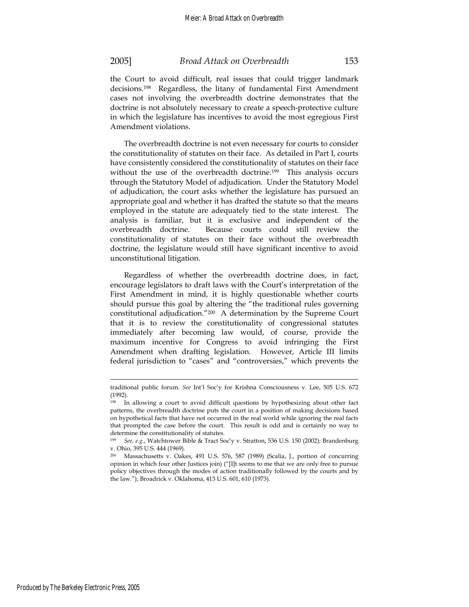the Court to avoid difficult, real issues that could trigger landmark decisions.198 Regardless, the litany of fundamental First Amendment cases not involving the overbreadth doctrine demonstrates that the doctrine is not absolutely necessary to create a speech-protective culture in which the legislature has incentives to avoid the most egregious First Amendment violations.

The overbreadth doctrine is not even necessary for courts to consider the constitutionality of statutes on their face. As detailed in Part I, courts have consistently considered the constitutionality of statutes on their face without the use of the overbreadth doctrine.<sup>199</sup> This analysis occurs through the Statutory Model of adjudication. Under the Statutory Model of adjudication, the court asks whether the legislature has pursued an appropriate goal and whether it has drafted the statute so that the means employed in the statute are adequately tied to the state interest. The analysis is familiar, but it is exclusive and independent of the overbreadth doctrine. Because courts could still review the constitutionality of statutes on their face without the overbreadth doctrine, the legislature would still have significant incentive to avoid unconstitutional litigation.

Regardless of whether the overbreadth doctrine does, in fact, encourage legislators to draft laws with the Court's interpretation of the First Amendment in mind, it is highly questionable whether courts should pursue this goal by altering the "the traditional rules governing constitutional adjudication."200 A determination by the Supreme Court that it is to review the constitutionality of congressional statutes immediately after becoming law would, of course, provide the maximum incentive for Congress to avoid infringing the First Amendment when drafting legislation. However, Article III limits federal jurisdiction to "cases" and "controversies," which prevents the

traditional public forum. *See* Int'l Soc'y for Krishna Consciousness v. Lee, 505 U.S. 672 (1992).

<sup>198</sup> In allowing a court to avoid difficult questions by hypothesizing about other fact patterns, the overbreadth doctrine puts the court in a position of making decisions based on hypothetical facts that have not occurred in the real world while ignoring the real facts that prompted the case before the court. This result is odd and is certainly no way to determine the constitutionality of statutes.

<sup>199</sup> *See, e.g.*, Watchtower Bible & Tract Soc'y v. Stratton, 536 U.S. 150 (2002); Brandenburg v. Ohio, 395 U.S. 444 (1969).

<sup>200</sup> Massachusetts v. Oakes, 491 U.S. 576, 587 (1989) (Scalia, J., portion of concurring opinion in which four other Justices join) ("[I]t seems to me that we are only free to pursue policy objectives through the modes of action traditionally followed by the courts and by the law."); Broadrick v. Oklahoma, 413 U.S. 601, 610 (1973).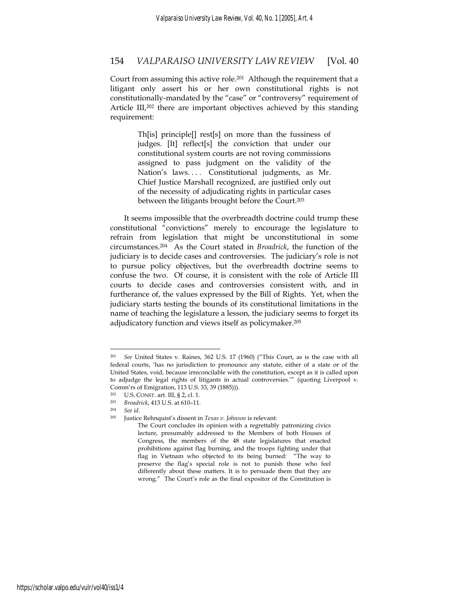Court from assuming this active role.<sup>201</sup> Although the requirement that a litigant only assert his or her own constitutional rights is not constitutionally-mandated by the "case" or "controversy" requirement of Article III,<sup>202</sup> there are important objectives achieved by this standing requirement:

> Th[is] principle[] rest[s] on more than the fussiness of judges. [It] reflect[s] the conviction that under our constitutional system courts are not roving commissions assigned to pass judgment on the validity of the Nation's laws.... Constitutional judgments, as Mr. Chief Justice Marshall recognized, are justified only out of the necessity of adjudicating rights in particular cases between the litigants brought before the Court.203

It seems impossible that the overbreadth doctrine could trump these constitutional "convictions" merely to encourage the legislature to refrain from legislation that might be unconstitutional in some circumstances.204 As the Court stated in *Broadrick*, the function of the judiciary is to decide cases and controversies. The judiciary's role is not to pursue policy objectives, but the overbreadth doctrine seems to confuse the two. Of course, it is consistent with the role of Article III courts to decide cases and controversies consistent with, and in furtherance of, the values expressed by the Bill of Rights. Yet, when the judiciary starts testing the bounds of its constitutional limitations in the name of teaching the legislature a lesson, the judiciary seems to forget its adjudicatory function and views itself as policymaker.205

<sup>201</sup> *See* United States v. Raines, 362 U.S. 17 (1960) ("This Court, as is the case with all federal courts, 'has no jurisdiction to pronounce any statute, either of a state or of the United States, void, because irreconcilable with the constitution, except as it is called upon to adjudge the legal rights of litigants in actual controversies.'" (quoting Liverpool v. Comm'rs of Emigration, 113 U.S. 33, 39 (1885))).

U.S. CONST. art. III, § 2, cl. 1.

<sup>203</sup> *Broadrick*, 413 U.S. at 610–11.

<sup>204</sup>*See id*. 205 Justice Rehnquist's dissent in *Texas v. Johnson* is relevant:

The Court concludes its opinion with a regrettably patronizing civics lecture, presumably addressed to the Members of both Houses of Congress, the members of the 48 state legislatures that enacted prohibitions against flag burning, and the troops fighting under that flag in Vietnam who objected to its being burned: "The way to preserve the flag's special role is not to punish those who feel differently about these matters. It is to persuade them that they are wrong." The Court's role as the final expositor of the Constitution is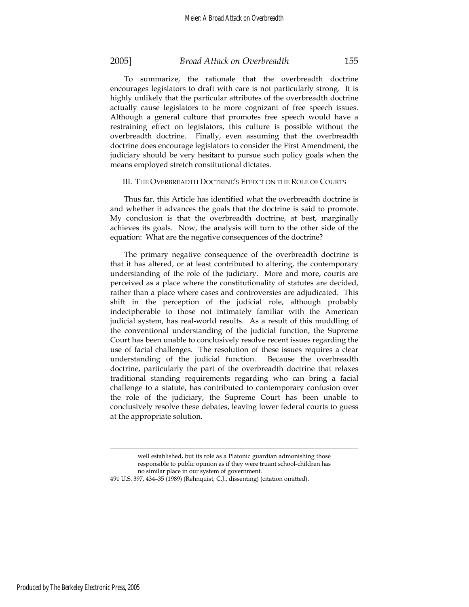To summarize, the rationale that the overbreadth doctrine encourages legislators to draft with care is not particularly strong. It is highly unlikely that the particular attributes of the overbreadth doctrine actually cause legislators to be more cognizant of free speech issues. Although a general culture that promotes free speech would have a restraining effect on legislators, this culture is possible without the overbreadth doctrine. Finally, even assuming that the overbreadth doctrine does encourage legislators to consider the First Amendment, the judiciary should be very hesitant to pursue such policy goals when the means employed stretch constitutional dictates.

### III. THE OVERBREADTH DOCTRINE'S EFFECT ON THE ROLE OF COURTS

Thus far, this Article has identified what the overbreadth doctrine is and whether it advances the goals that the doctrine is said to promote. My conclusion is that the overbreadth doctrine, at best, marginally achieves its goals. Now, the analysis will turn to the other side of the equation: What are the negative consequences of the doctrine?

The primary negative consequence of the overbreadth doctrine is that it has altered, or at least contributed to altering, the contemporary understanding of the role of the judiciary. More and more, courts are perceived as a place where the constitutionality of statutes are decided, rather than a place where cases and controversies are adjudicated. This shift in the perception of the judicial role, although probably indecipherable to those not intimately familiar with the American judicial system, has real-world results. As a result of this muddling of the conventional understanding of the judicial function, the Supreme Court has been unable to conclusively resolve recent issues regarding the use of facial challenges. The resolution of these issues requires a clear understanding of the judicial function. Because the overbreadth doctrine, particularly the part of the overbreadth doctrine that relaxes traditional standing requirements regarding who can bring a facial challenge to a statute, has contributed to contemporary confusion over the role of the judiciary, the Supreme Court has been unable to conclusively resolve these debates, leaving lower federal courts to guess at the appropriate solution.

well established, but its role as a Platonic guardian admonishing those responsible to public opinion as if they were truant school-children has no similar place in our system of government.

<sup>491</sup> U.S. 397, 434–35 (1989) (Rehnquist, C.J., dissenting) (citation omitted).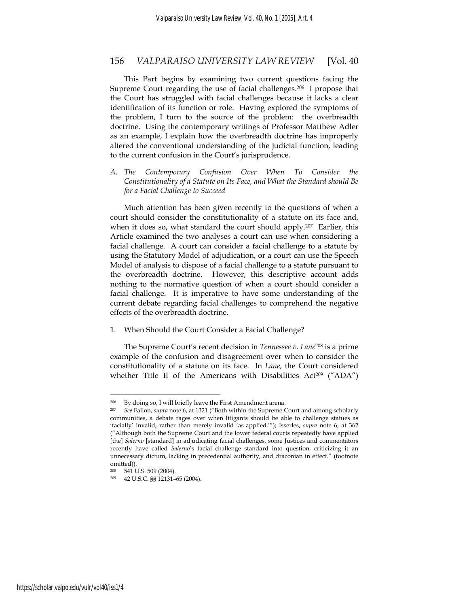This Part begins by examining two current questions facing the Supreme Court regarding the use of facial challenges.<sup>206</sup> I propose that the Court has struggled with facial challenges because it lacks a clear identification of its function or role. Having explored the symptoms of the problem, I turn to the source of the problem: the overbreadth doctrine. Using the contemporary writings of Professor Matthew Adler as an example, I explain how the overbreadth doctrine has improperly altered the conventional understanding of the judicial function, leading to the current confusion in the Court's jurisprudence.

*A. The Contemporary Confusion Over When To Consider the Constitutionality of a Statute on Its Face, and What the Standard should Be for a Facial Challenge to Succeed* 

Much attention has been given recently to the questions of when a court should consider the constitutionality of a statute on its face and, when it does so, what standard the court should apply.<sup>207</sup> Earlier, this Article examined the two analyses a court can use when considering a facial challenge. A court can consider a facial challenge to a statute by using the Statutory Model of adjudication, or a court can use the Speech Model of analysis to dispose of a facial challenge to a statute pursuant to the overbreadth doctrine. However, this descriptive account adds nothing to the normative question of when a court should consider a facial challenge. It is imperative to have some understanding of the current debate regarding facial challenges to comprehend the negative effects of the overbreadth doctrine.

1. When Should the Court Consider a Facial Challenge?

The Supreme Court's recent decision in *Tennessee v. Lane*208 is a prime example of the confusion and disagreement over when to consider the constitutionality of a statute on its face. In *Lane*, the Court considered whether Title II of the Americans with Disabilities Act<sup>209</sup> ("ADA")

<sup>206</sup> By doing so, I will briefly leave the First Amendment arena.

<sup>207</sup> *See* Fallon, *supra* note 6, at 1321 ("Both within the Supreme Court and among scholarly communities, a debate rages over when litigants should be able to challenge statues as 'facially' invalid, rather than merely invalid 'as-applied.'"); Isserles, *supra* note 6, at 362 ("Although both the Supreme Court and the lower federal courts repeatedly have applied [the] *Salerno* [standard] in adjudicating facial challenges, some Justices and commentators recently have called *Salerno*'s facial challenge standard into question, criticizing it an unnecessary dictum, lacking in precedential authority, and draconian in effect." (footnote omitted)).<br><sup>208</sup> 541 I

<sup>541</sup> U.S. 509 (2004).

<sup>209 42</sup> U.S.C. §§ 12131–65 (2004).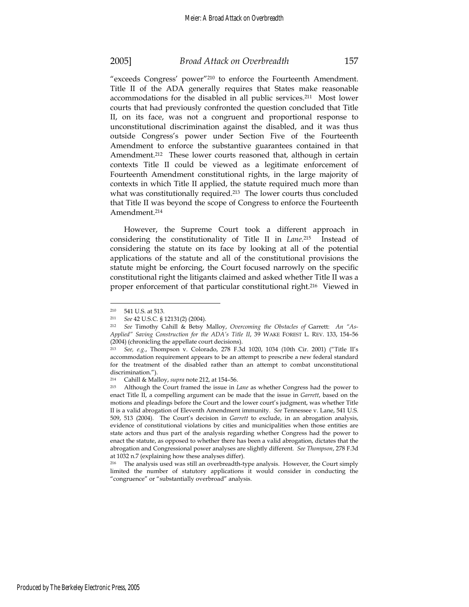"exceeds Congress' power"210 to enforce the Fourteenth Amendment. Title II of the ADA generally requires that States make reasonable accommodations for the disabled in all public services.211 Most lower courts that had previously confronted the question concluded that Title II, on its face, was not a congruent and proportional response to unconstitutional discrimination against the disabled, and it was thus outside Congress's power under Section Five of the Fourteenth Amendment to enforce the substantive guarantees contained in that Amendment.<sup>212</sup> These lower courts reasoned that, although in certain contexts Title II could be viewed as a legitimate enforcement of Fourteenth Amendment constitutional rights, in the large majority of contexts in which Title II applied, the statute required much more than what was constitutionally required.<sup>213</sup> The lower courts thus concluded that Title II was beyond the scope of Congress to enforce the Fourteenth Amendment.214

However, the Supreme Court took a different approach in considering the constitutionality of Title II in *Lane*. 215 Instead of considering the statute on its face by looking at all of the potential applications of the statute and all of the constitutional provisions the statute might be enforcing, the Court focused narrowly on the specific constitutional right the litigants claimed and asked whether Title II was a proper enforcement of that particular constitutional right.216 Viewed in

<sup>&</sup>lt;sup>210</sup> 541 U.S. at 513.<br><sup>211</sup> *See* 42 U.S.C. § 12131(2) (2004).

<sup>&</sup>lt;sup>212</sup> See Timothy Cahill & Betsy Malloy, *Overcoming the Obstacles of Garrett: An "As-Applied" Saving Construction for the ADA's Title II*, 39 WAKE FOREST L. REV. 133, 154–56 (2004) (chronicling the appellate court decisions).

<sup>213</sup> *See, e.g.*, Thompson v. Colorado, 278 F.3d 1020, 1034 (10th Cir. 2001) ("Title II's accommodation requirement appears to be an attempt to prescribe a new federal standard for the treatment of the disabled rather than an attempt to combat unconstitutional discrimination.").

<sup>214</sup> Cahill & Malloy, *supra* note 212, at 154–56. 215 Although the Court framed the issue in *Lane* as whether Congress had the power to enact Title II, a compelling argument can be made that the issue in *Garrett*, based on the motions and pleadings before the Court and the lower court's judgment, was whether Title II is a valid abrogation of Eleventh Amendment immunity. *See* Tennessee v. Lane, 541 U.S. 509, 513 (2004). The Court's decision in *Garrett* to exclude, in an abrogation analysis, evidence of constitutional violations by cities and municipalities when those entities are state actors and thus part of the analysis regarding whether Congress had the power to enact the statute, as opposed to whether there has been a valid abrogation, dictates that the abrogation and Congressional power analyses are slightly different. *See Thompson*, 278 F.3d at 1032 n.7 (explaining how these analyses differ).

<sup>216</sup> The analysis used was still an overbreadth-type analysis. However, the Court simply limited the number of statutory applications it would consider in conducting the "congruence" or "substantially overbroad" analysis.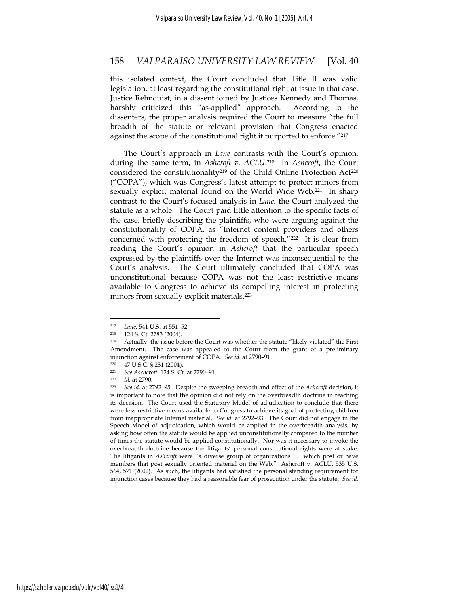this isolated context, the Court concluded that Title II was valid legislation, at least regarding the constitutional right at issue in that case. Justice Rehnquist, in a dissent joined by Justices Kennedy and Thomas, harshly criticized this "as-applied" approach. According to the dissenters, the proper analysis required the Court to measure "the full breadth of the statute or relevant provision that Congress enacted against the scope of the constitutional right it purported to enforce."217

The Court's approach in *Lane* contrasts with the Court's opinion, during the same term, in *Ashcroft v. ACLU*. 218 In *Ashcroft*, the Court considered the constitutionality<sup>219</sup> of the Child Online Protection Act<sup>220</sup> ("COPA"), which was Congress's latest attempt to protect minors from sexually explicit material found on the World Wide Web.221 In sharp contrast to the Court's focused analysis in *Lane,* the Court analyzed the statute as a whole. The Court paid little attention to the specific facts of the case, briefly describing the plaintiffs, who were arguing against the constitutionality of COPA, as "Internet content providers and others concerned with protecting the freedom of speech."222 It is clear from reading the Court's opinion in *Ashcroft* that the particular speech expressed by the plaintiffs over the Internet was inconsequential to the Court's analysis. The Court ultimately concluded that COPA was unconstitutional because COPA was not the least restrictive means available to Congress to achieve its compelling interest in protecting minors from sexually explicit materials.<sup>223</sup>

<sup>217</sup> *Lane,* 541 U.S. at 551–52. 218 124 S. Ct. 2783 (2004).

<sup>&</sup>lt;sup>219</sup> Actually, the issue before the Court was whether the statute "likely violated" the First Amendment. The case was appealed to the Court from the grant of a preliminary injunction against enforcement of COPA. *See id.* at 2790–91.

<sup>220 47</sup> U.S.C. § 231 (2004).

<sup>221</sup> *See Aschcroft*, 124 S. Ct. at 2790–91. 222 *Id.* at 2790. 223 *See id.* at 2792–95. Despite the sweeping breadth and effect of the *Ashcroft* decision, it is important to note that the opinion did not rely on the overbreadth doctrine in reaching its decision. The Court used the Statutory Model of adjudication to conclude that there were less restrictive means available to Congress to achieve its goal of protecting children from inappropriate Internet material. *See id.* at 2792–93. The Court did not engage in the Speech Model of adjudication, which would be applied in the overbreadth analysis, by asking how often the statute would be applied unconstitutionally compared to the number of times the statute would be applied constitutionally. Nor was it necessary to invoke the overbreadth doctrine because the litigants' personal constitutional rights were at stake. The litigants in *Ashcroft* were "a diverse group of organizations . . . which post or have members that post sexually oriented material on the Web." Ashcroft v. ACLU, 535 U.S. 564, 571 (2002). As such, the litigants had satisfied the personal standing requirement for injunction cases because they had a reasonable fear of prosecution under the statute. *See id.*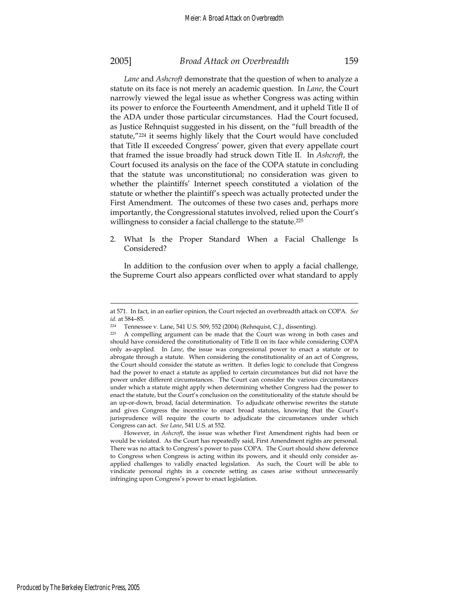*Lane* and *Ashcroft* demonstrate that the question of when to analyze a statute on its face is not merely an academic question. In *Lane*, the Court narrowly viewed the legal issue as whether Congress was acting within its power to enforce the Fourteenth Amendment, and it upheld Title II of the ADA under those particular circumstances. Had the Court focused, as Justice Rehnquist suggested in his dissent, on the "full breadth of the statute,"224 it seems highly likely that the Court would have concluded that Title II exceeded Congress' power, given that every appellate court that framed the issue broadly had struck down Title II. In *Ashcroft*, the Court focused its analysis on the face of the COPA statute in concluding that the statute was unconstitutional; no consideration was given to whether the plaintiffs' Internet speech constituted a violation of the statute or whether the plaintiff's speech was actually protected under the First Amendment. The outcomes of these two cases and, perhaps more importantly, the Congressional statutes involved, relied upon the Court's willingness to consider a facial challenge to the statute.<sup>225</sup>

2. What Is the Proper Standard When a Facial Challenge Is Considered?

In addition to the confusion over when to apply a facial challenge, the Supreme Court also appears conflicted over what standard to apply

at 571. In fact, in an earlier opinion, the Court rejected an overbreadth attack on COPA. *See id.* at 584-85

<sup>224</sup> Tennessee v. Lane, 541 U.S. 509, 552 (2004) (Rehnquist, C.J., dissenting).

<sup>225</sup> A compelling argument can be made that the Court was wrong in both cases and should have considered the constitutionality of Title II on its face while considering COPA only as-applied. In *Lane*, the issue was congressional power to enact a statute or to abrogate through a statute. When considering the constitutionality of an act of Congress, the Court should consider the statute as written. It defies logic to conclude that Congress had the power to enact a statute as applied to certain circumstances but did not have the power under different circumstances. The Court can consider the various circumstances under which a statute might apply when determining whether Congress had the power to enact the statute, but the Court's conclusion on the constitutionality of the statute should be an up-or-down, broad, facial determination. To adjudicate otherwise rewrites the statute and gives Congress the incentive to enact broad statutes, knowing that the Court's jurisprudence will require the courts to adjudicate the circumstances under which Congress can act. *See Lane*, 541 U.S. at 552.

However, in *Ashcroft*, the issue was whether First Amendment rights had been or would be violated. As the Court has repeatedly said, First Amendment rights are personal. There was no attack to Congress's power to pass COPA. The Court should show deference to Congress when Congress is acting within its powers, and it should only consider asapplied challenges to validly enacted legislation. As such, the Court will be able to vindicate personal rights in a concrete setting as cases arise without unnecessarily infringing upon Congress's power to enact legislation.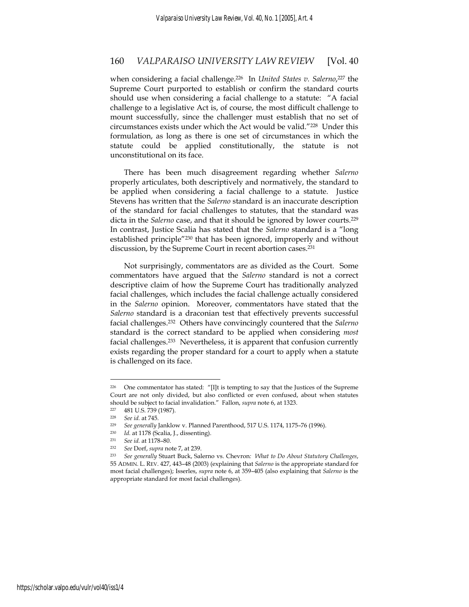when considering a facial challenge.226 In *United States v. Salerno*, 227 the Supreme Court purported to establish or confirm the standard courts should use when considering a facial challenge to a statute: "A facial challenge to a legislative Act is, of course, the most difficult challenge to mount successfully, since the challenger must establish that no set of circumstances exists under which the Act would be valid."228 Under this formulation, as long as there is one set of circumstances in which the statute could be applied constitutionally, the statute is not unconstitutional on its face.

There has been much disagreement regarding whether *Salerno* properly articulates, both descriptively and normatively, the standard to be applied when considering a facial challenge to a statute. Justice Stevens has written that the *Salerno* standard is an inaccurate description of the standard for facial challenges to statutes, that the standard was dicta in the *Salerno* case, and that it should be ignored by lower courts.229 In contrast, Justice Scalia has stated that the *Salerno* standard is a "long established principle"230 that has been ignored, improperly and without discussion, by the Supreme Court in recent abortion cases.<sup>231</sup>

Not surprisingly, commentators are as divided as the Court. Some commentators have argued that the *Salerno* standard is not a correct descriptive claim of how the Supreme Court has traditionally analyzed facial challenges, which includes the facial challenge actually considered in the *Salerno* opinion. Moreover, commentators have stated that the *Salerno* standard is a draconian test that effectively prevents successful facial challenges.232 Others have convincingly countered that the *Salerno* standard is the correct standard to be applied when considering *most* facial challenges.<sup>233</sup> Nevertheless, it is apparent that confusion currently exists regarding the proper standard for a court to apply when a statute is challenged on its face.

<sup>226</sup> One commentator has stated: "[I]t is tempting to say that the Justices of the Supreme Court are not only divided, but also conflicted or even confused, about when statutes should be subject to facial invalidation." Fallon, *supra* note 6, at 1323.

 $\frac{227}{228}$  481 U.S. 739 (1987).

<sup>228</sup> *See id.* at 745. 229 *See generally* Janklow v. Planned Parenthood, 517 U.S. 1174, 1175–76 (1996). 230 *Id.* at 1178 (Scalia, J., dissenting).

<sup>231</sup> *See id.* at 1178–80.

<sup>232</sup> *See* Dorf, *supra* note 7, at 239. 233 *See generally* Stuart Buck, Salerno vs. Chevron*: What to Do About Statutory Challenges*, 55 ADMIN. L. REV. 427, 443–48 (2003) (explaining that *Salerno* is the appropriate standard for most facial challenges); Isserles, *supra* note 6, at 359–405 (also explaining that *Salerno* is the appropriate standard for most facial challenges).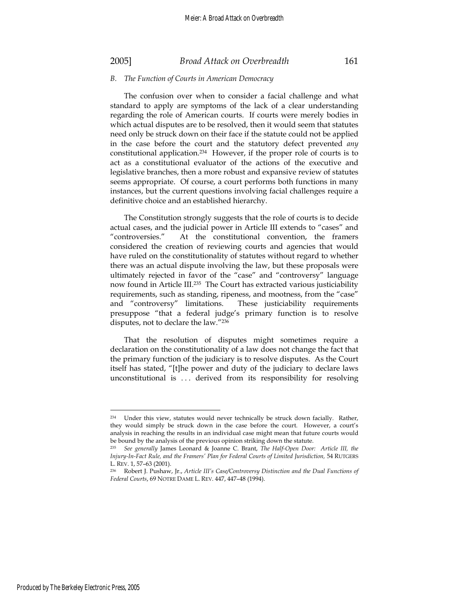### *B. The Function of Courts in American Democracy*

The confusion over when to consider a facial challenge and what standard to apply are symptoms of the lack of a clear understanding regarding the role of American courts. If courts were merely bodies in which actual disputes are to be resolved, then it would seem that statutes need only be struck down on their face if the statute could not be applied in the case before the court and the statutory defect prevented *any* constitutional application.234 However, if the proper role of courts is to act as a constitutional evaluator of the actions of the executive and legislative branches, then a more robust and expansive review of statutes seems appropriate. Of course, a court performs both functions in many instances, but the current questions involving facial challenges require a definitive choice and an established hierarchy.

The Constitution strongly suggests that the role of courts is to decide actual cases, and the judicial power in Article III extends to "cases" and "controversies." At the constitutional convention, the framers considered the creation of reviewing courts and agencies that would have ruled on the constitutionality of statutes without regard to whether there was an actual dispute involving the law, but these proposals were ultimately rejected in favor of the "case" and "controversy" language now found in Article III.235 The Court has extracted various justiciability requirements, such as standing, ripeness, and mootness, from the "case" and "controversy" limitations. These justiciability requirements presuppose "that a federal judge's primary function is to resolve disputes, not to declare the law."236

That the resolution of disputes might sometimes require a declaration on the constitutionality of a law does not change the fact that the primary function of the judiciary is to resolve disputes. As the Court itself has stated, "[t]he power and duty of the judiciary to declare laws unconstitutional is . . . derived from its responsibility for resolving

<sup>234</sup> Under this view, statutes would never technically be struck down facially. Rather, they would simply be struck down in the case before the court. However, a court's analysis in reaching the results in an individual case might mean that future courts would be bound by the analysis of the previous opinion striking down the statute.

<sup>235</sup> *See generally* James Leonard & Joanne C. Brant, *The Half-Open Door: Article III, the Injury-In-Fact Rule, and the Framers' Plan for Federal Courts of Limited Jurisdiction, 54 RUTGERS* L. REV. 1, 57–63 (2001).

<sup>236</sup> Robert J. Pushaw, Jr., *Article III's Case/Controversy Distinction and the Dual Functions of Federal Courts*, 69 NOTRE DAME L. REV. 447, 447–48 (1994).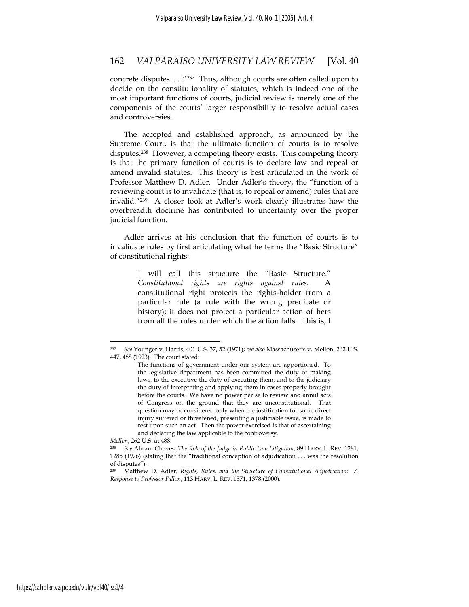concrete disputes. . . ."237 Thus, although courts are often called upon to decide on the constitutionality of statutes, which is indeed one of the most important functions of courts, judicial review is merely one of the components of the courts' larger responsibility to resolve actual cases and controversies.

The accepted and established approach, as announced by the Supreme Court, is that the ultimate function of courts is to resolve disputes.238 However, a competing theory exists. This competing theory is that the primary function of courts is to declare law and repeal or amend invalid statutes. This theory is best articulated in the work of Professor Matthew D. Adler. Under Adler's theory, the "function of a reviewing court is to invalidate (that is, to repeal or amend) rules that are invalid."239 A closer look at Adler's work clearly illustrates how the overbreadth doctrine has contributed to uncertainty over the proper judicial function.

Adler arrives at his conclusion that the function of courts is to invalidate rules by first articulating what he terms the "Basic Structure" of constitutional rights:

> I will call this structure the "Basic Structure." *Constitutional rights are rights against rules*. A constitutional right protects the rights-holder from a particular rule (a rule with the wrong predicate or history); it does not protect a particular action of hers from all the rules under which the action falls. This is, I

<sup>237</sup> *See* Younger v. Harris, 401 U.S. 37, 52 (1971); *see also* Massachusetts v. Mellon, 262 U.S. 447, 488 (1923). The court stated:

The functions of government under our system are apportioned. To the legislative department has been committed the duty of making laws, to the executive the duty of executing them, and to the judiciary the duty of interpreting and applying them in cases properly brought before the courts. We have no power per se to review and annul acts of Congress on the ground that they are unconstitutional. That question may be considered only when the justification for some direct injury suffered or threatened, presenting a justiciable issue, is made to rest upon such an act. Then the power exercised is that of ascertaining and declaring the law applicable to the controversy.

*Mellon*, 262 U.S. at 488*.*

<sup>238</sup> *See* Abram Chayes, *The Role of the Judge in Public Law Litigation*, 89 HARV. L. REV. 1281, 1285 (1976) (stating that the "traditional conception of adjudication . . . was the resolution of disputes").

<sup>239</sup> Matthew D. Adler, *Rights, Rules, and the Structure of Constitutional Adjudication: A Response to Professor Fallon*, 113 HARV. L. REV. 1371, 1378 (2000).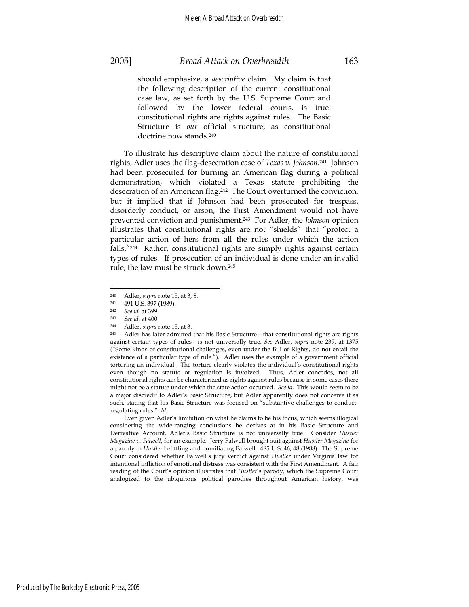should emphasize, a *descriptive* claim. My claim is that the following description of the current constitutional case law, as set forth by the U.S. Supreme Court and followed by the lower federal courts, is true: constitutional rights are rights against rules. The Basic Structure is *our* official structure, as constitutional doctrine now stands.240

To illustrate his descriptive claim about the nature of constitutional rights, Adler uses the flag-desecration case of *Texas v. Johnson*. 241 Johnson had been prosecuted for burning an American flag during a political demonstration, which violated a Texas statute prohibiting the desecration of an American flag.242 The Court overturned the conviction, but it implied that if Johnson had been prosecuted for trespass, disorderly conduct, or arson, the First Amendment would not have prevented conviction and punishment.243 For Adler, the *Johnson* opinion illustrates that constitutional rights are not "shields" that "protect a particular action of hers from all the rules under which the action falls."244 Rather, constitutional rights are simply rights against certain types of rules. If prosecution of an individual is done under an invalid rule, the law must be struck down.245

 $\overline{a}$ 

 Even given Adler's limitation on what he claims to be his focus, which seems illogical considering the wide-ranging conclusions he derives at in his Basic Structure and Derivative Account, Adler's Basic Structure is not universally true. Consider *Hustler Magazine v. Falwell*, for an example. Jerry Falwell brought suit against *Hustler Magazine* for a parody in *Hustler* belittling and humiliating Falwell. 485 U.S. 46, 48 (1988). The Supreme Court considered whether Falwell's jury verdict against *Hustler* under Virginia law for intentional infliction of emotional distress was consistent with the First Amendment. A fair reading of the Court's opinion illustrates that *Hustler*'s parody, which the Supreme Court analogized to the ubiquitous political parodies throughout American history, was

<sup>240</sup> Adler, *supra* note 15, at 3, 8. 241 491 U.S. 397 (1989).

<sup>242</sup> *See id.* at 399.

<sup>243</sup> *See id*. at 400. 244 Adler, *supra* note 15, at 3. 245 Adler has later admitted that his Basic Structure—that constitutional rights are rights against certain types of rules—is not universally true. *See* Adler, *supra* note 239, at 1375 ("Some kinds of constitutional challenges, even under the Bill of Rights, do not entail the existence of a particular type of rule."). Adler uses the example of a government official torturing an individual. The torture clearly violates the individual's constitutional rights even though no statute or regulation is involved. Thus, Adler concedes, not all constitutional rights can be characterized as rights against rules because in some cases there might not be a statute under which the state action occurred. *See id.* This would seem to be a major discredit to Adler's Basic Structure, but Adler apparently does not conceive it as such, stating that his Basic Structure was focused on "substantive challenges to conductregulating rules." *Id.*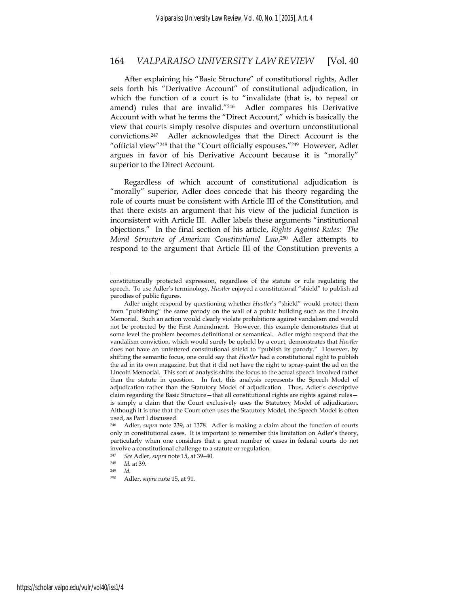After explaining his "Basic Structure" of constitutional rights, Adler sets forth his "Derivative Account" of constitutional adjudication, in which the function of a court is to "invalidate (that is, to repeal or amend) rules that are invalid."<sup>246</sup> Adler compares his Derivative Account with what he terms the "Direct Account," which is basically the view that courts simply resolve disputes and overturn unconstitutional convictions.247 Adler acknowledges that the Direct Account is the "official view"248 that the "Court officially espouses."249 However, Adler argues in favor of his Derivative Account because it is "morally" superior to the Direct Account.

Regardless of which account of constitutional adjudication is "morally" superior, Adler does concede that his theory regarding the role of courts must be consistent with Article III of the Constitution, and that there exists an argument that his view of the judicial function is inconsistent with Article III. Adler labels these arguments "institutional objections." In the final section of his article, *Rights Against Rules: The Moral Structure of American Constitutional Law*, 250 Adler attempts to respond to the argument that Article III of the Constitution prevents a

constitutionally protected expression, regardless of the statute or rule regulating the speech. To use Adler's terminology, *Hustler* enjoyed a constitutional "shield" to publish ad parodies of public figures.

Adler might respond by questioning whether *Hustler*'s "shield" would protect them from "publishing" the same parody on the wall of a public building such as the Lincoln Memorial. Such an action would clearly violate prohibitions against vandalism and would not be protected by the First Amendment. However, this example demonstrates that at some level the problem becomes definitional or semantical. Adler might respond that the vandalism conviction, which would surely be upheld by a court, demonstrates that *Hustler* does not have an unfettered constitutional shield to "publish its parody." However, by shifting the semantic focus, one could say that *Hustler* had a constitutional right to publish the ad in its own magazine, but that it did not have the right to spray-paint the ad on the Lincoln Memorial. This sort of analysis shifts the focus to the actual speech involved rather than the statute in question. In fact, this analysis represents the Speech Model of adjudication rather than the Statutory Model of adjudication. Thus, Adler's descriptive claim regarding the Basic Structure-that all constitutional rights are rights against rulesis simply a claim that the Court exclusively uses the Statutory Model of adjudication. Although it is true that the Court often uses the Statutory Model, the Speech Model is often used, as Part I discussed.

<sup>246</sup> Adler, *supra* note 239, at 1378. Adler is making a claim about the function of courts only in constitutional cases. It is important to remember this limitation on Adler's theory, particularly when one considers that a great number of cases in federal courts do not involve a constitutional challenge to a statute or regulation.

<sup>247</sup> *See* Adler, *supra* note 15, at 39–40. 248 *Id.* at 39.

<sup>249</sup> *Id.*

<sup>250</sup> Adler, *supra* note 15, at 91.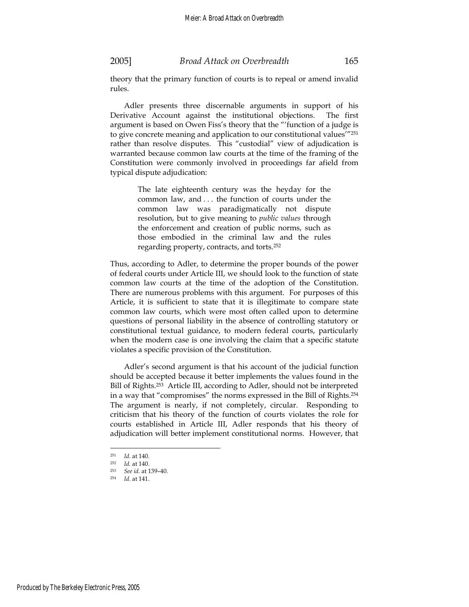theory that the primary function of courts is to repeal or amend invalid rules.

Adler presents three discernable arguments in support of his Derivative Account against the institutional objections. The first argument is based on Owen Fiss's theory that the "'function of a judge is to give concrete meaning and application to our constitutional values'"<sup>251</sup> rather than resolve disputes. This "custodial" view of adjudication is warranted because common law courts at the time of the framing of the Constitution were commonly involved in proceedings far afield from typical dispute adjudication:

> The late eighteenth century was the heyday for the common law, and . . . the function of courts under the common law was paradigmatically not dispute resolution, but to give meaning to *public values* through the enforcement and creation of public norms, such as those embodied in the criminal law and the rules regarding property, contracts, and torts.252

Thus, according to Adler, to determine the proper bounds of the power of federal courts under Article III, we should look to the function of state common law courts at the time of the adoption of the Constitution. There are numerous problems with this argument. For purposes of this Article, it is sufficient to state that it is illegitimate to compare state common law courts, which were most often called upon to determine questions of personal liability in the absence of controlling statutory or constitutional textual guidance, to modern federal courts, particularly when the modern case is one involving the claim that a specific statute violates a specific provision of the Constitution.

Adler's second argument is that his account of the judicial function should be accepted because it better implements the values found in the Bill of Rights.<sup>253</sup> Article III, according to Adler, should not be interpreted in a way that "compromises" the norms expressed in the Bill of Rights.254 The argument is nearly, if not completely, circular. Responding to criticism that his theory of the function of courts violates the role for courts established in Article III, Adler responds that his theory of adjudication will better implement constitutional norms. However, that

<sup>251</sup> *Id.* at 140. 252 *Id.* at 140.

<sup>253</sup> *See id.* at 139–40. 254 *Id.* at 141.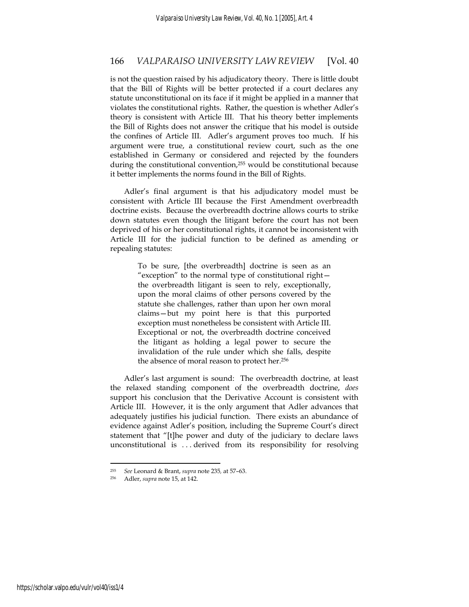is not the question raised by his adjudicatory theory. There is little doubt that the Bill of Rights will be better protected if a court declares any statute unconstitutional on its face if it might be applied in a manner that violates the constitutional rights. Rather, the question is whether Adler's theory is consistent with Article III. That his theory better implements the Bill of Rights does not answer the critique that his model is outside the confines of Article III. Adler's argument proves too much. If his argument were true, a constitutional review court, such as the one established in Germany or considered and rejected by the founders during the constitutional convention,<sup>255</sup> would be constitutional because it better implements the norms found in the Bill of Rights.

Adler's final argument is that his adjudicatory model must be consistent with Article III because the First Amendment overbreadth doctrine exists. Because the overbreadth doctrine allows courts to strike down statutes even though the litigant before the court has not been deprived of his or her constitutional rights, it cannot be inconsistent with Article III for the judicial function to be defined as amending or repealing statutes:

> To be sure, [the overbreadth] doctrine is seen as an "exception" to the normal type of constitutional right the overbreadth litigant is seen to rely, exceptionally, upon the moral claims of other persons covered by the statute she challenges, rather than upon her own moral claims—but my point here is that this purported exception must nonetheless be consistent with Article III. Exceptional or not, the overbreadth doctrine conceived the litigant as holding a legal power to secure the invalidation of the rule under which she falls, despite the absence of moral reason to protect her.256

Adler's last argument is sound: The overbreadth doctrine, at least the relaxed standing component of the overbreadth doctrine, *does* support his conclusion that the Derivative Account is consistent with Article III. However, it is the only argument that Adler advances that adequately justifies his judicial function. There exists an abundance of evidence against Adler's position, including the Supreme Court's direct statement that "[t]he power and duty of the judiciary to declare laws unconstitutional is . . . derived from its responsibility for resolving

<sup>255</sup> *See* Leonard & Brant, *supra* note 235*,* at 57–63. 256 Adler, *supra* note 15, at 142.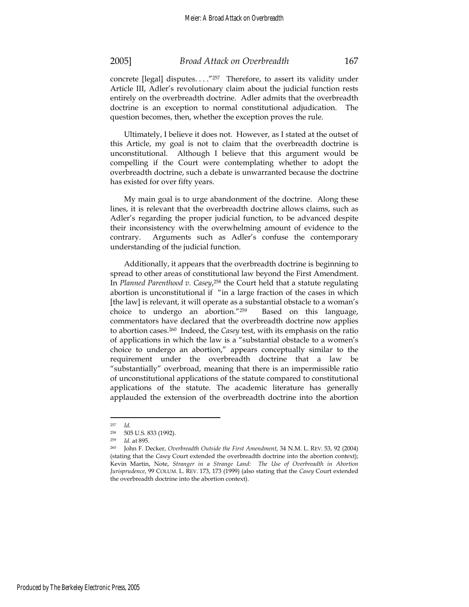concrete [legal] disputes. . . ."257 Therefore, to assert its validity under Article III, Adler's revolutionary claim about the judicial function rests entirely on the overbreadth doctrine. Adler admits that the overbreadth doctrine is an exception to normal constitutional adjudication. The question becomes, then, whether the exception proves the rule.

Ultimately, I believe it does not. However, as I stated at the outset of this Article, my goal is not to claim that the overbreadth doctrine is unconstitutional. Although I believe that this argument would be compelling if the Court were contemplating whether to adopt the overbreadth doctrine, such a debate is unwarranted because the doctrine has existed for over fifty years.

My main goal is to urge abandonment of the doctrine. Along these lines, it is relevant that the overbreadth doctrine allows claims, such as Adler's regarding the proper judicial function, to be advanced despite their inconsistency with the overwhelming amount of evidence to the contrary. Arguments such as Adler's confuse the contemporary understanding of the judicial function.

Additionally, it appears that the overbreadth doctrine is beginning to spread to other areas of constitutional law beyond the First Amendment. In *Planned Parenthood v. Casey*, <sup>258</sup> the Court held that a statute regulating abortion is unconstitutional if "in a large fraction of the cases in which [the law] is relevant, it will operate as a substantial obstacle to a woman's choice to undergo an abortion."259 Based on this language, commentators have declared that the overbreadth doctrine now applies to abortion cases.260 Indeed, the *Casey* test, with its emphasis on the ratio of applications in which the law is a "substantial obstacle to a women's choice to undergo an abortion," appears conceptually similar to the requirement under the overbreadth doctrine that a law be "substantially" overbroad, meaning that there is an impermissible ratio of unconstitutional applications of the statute compared to constitutional applications of the statute. The academic literature has generally applauded the extension of the overbreadth doctrine into the abortion

<sup>257</sup> *Id.*

<sup>258 505</sup> U.S. 833 (1992).

<sup>259</sup> *Id.* at 895.

<sup>260</sup> John F. Decker, *Overbreadth Outside the First Amendment*, 34 N.M. L. REV. 53, 92 (2004) (stating that the *Casey* Court extended the overbreadth doctrine into the abortion context); Kevin Martin, Note, *Stranger in a Strange Land: The Use of Overbreadth in Abortion Jurisprudence*, 99 COLUM. L. REV. 173, 173 (1999) (also stating that the *Casey* Court extended the overbreadth doctrine into the abortion context).